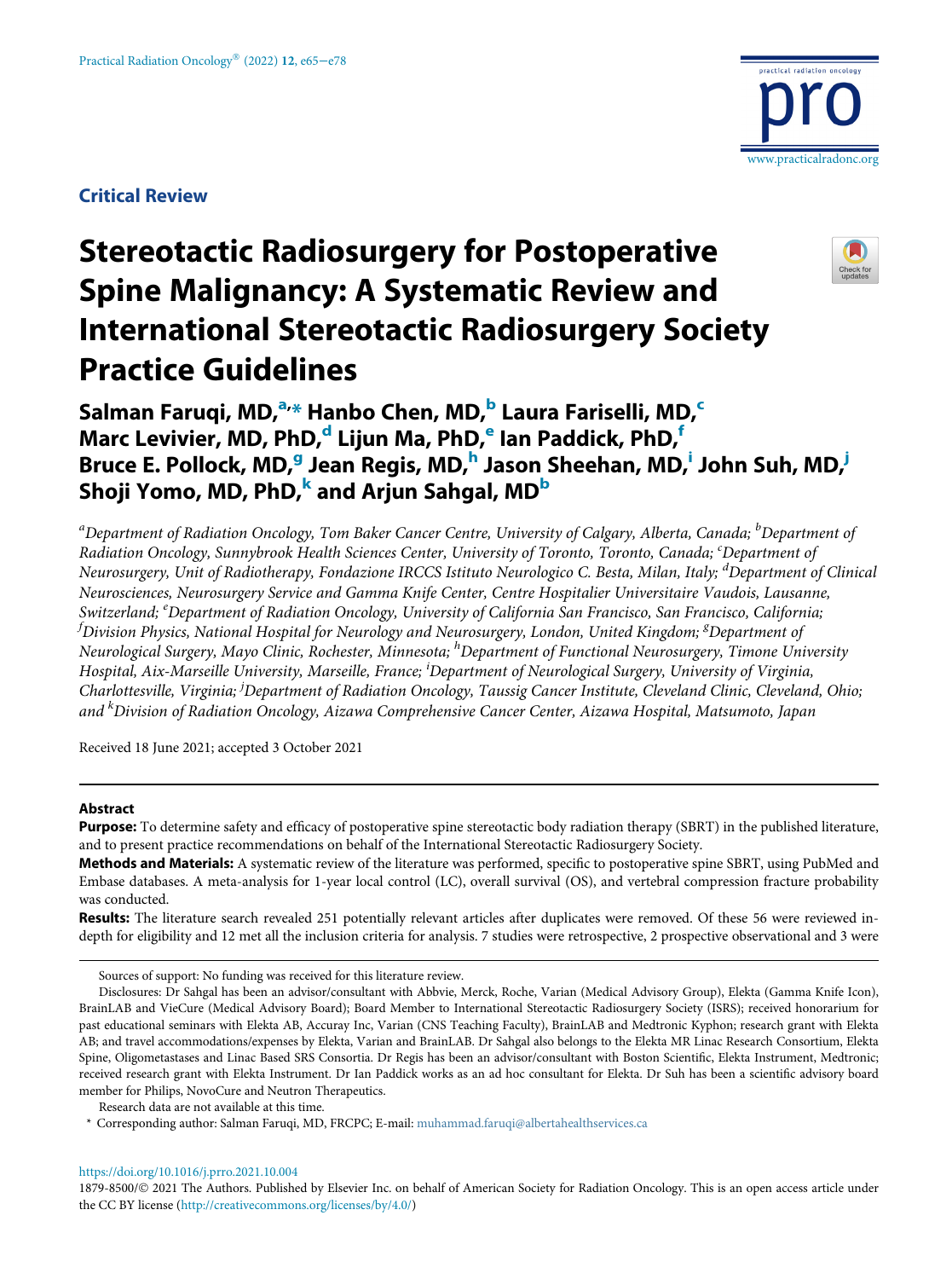Critical Review



# Stereotactic Radiosurgery for Postoperative Spine Malignancy: A Systematic Review and International Stereotactic Radiosurgery Society Practice Guidelines



# Salman Faruqi, MD,<sup>[a,](#page-0-0)</sup>[\\*](#page-0-1) Han[b](#page-0-0)o Chen, MD,<sup>b</sup> Laura Fariselli, MD,<sup>[c](#page-0-2)</sup> Marc Levivier, MD, PhD,<sup>[d](#page-0-3)</sup> Lijun Ma, PhD,<sup>[e](#page-0-4)</sup> Ian Paddick, PhD,<sup>[f](#page-0-4)</sup> Bruce E. Pollock, MD,<sup>[g](#page-0-5)</sup> Jean Regis, MD,<sup>[h](#page-0-6)</sup> Jason Sheehan, MD,<sup>[i](#page-0-7)</sup> John Suh, MD,<sup>i</sup> Shoji Yomo, MD, PhD, and Arjun Sahgal, MD<sup>[b](#page-0-0)</sup>

<span id="page-0-5"></span><span id="page-0-4"></span><span id="page-0-3"></span><span id="page-0-2"></span><span id="page-0-0"></span><sup>a</sup>Department of Radiation Oncology, Tom Baker Cancer Centre, University of Calgary, Alberta, Canada; <sup>b</sup>Department of Radiation Oncology, Sunnybrook Health Sciences Center, University of Toronto, Toronto, Canada; 'Department of Neurosurgery, Unit of Radiotherapy, Fondazione IRCCS Istituto Neurologico C. Besta, Milan, Italy; <sup>d</sup>Department of Clinical Neurosciences, Neurosurgery Service and Gamma Knife Center, Centre Hospitalier Universitaire Vaudois, Lausanne, Switzerland; <sup>e</sup>Department of Radiation Oncology, University of California San Francisco, San Francisco, California;  $^f$ Division Physics, National Hospital for Neurology and Neurosurgery, London, United Kingdom;  $^g$ Department of Neurological Surgery, Mayo Clinic, Rochester, Minnesota; <sup>h</sup>Department of Functional Neurosurgery, Timone University Hospital, Aix-Marseille University, Marseille, France; <sup>i</sup>Department of Neurological Surgery, University of Virginia, Charlottesville, Virginia; <sup>j</sup>Department of Radiation Oncology, Taussig Cancer Institute, Cleveland Clinic, Cleveland, Ohio; and <sup>k</sup>Division of Radiation Oncology, Aizawa Comprehensive Cancer Center, Aizawa Hospital, Matsumoto, Japan

<span id="page-0-9"></span><span id="page-0-8"></span><span id="page-0-7"></span><span id="page-0-6"></span>Received 18 June 2021; accepted 3 October 2021

#### Abstract

Purpose: To determine safety and efficacy of postoperative spine stereotactic body radiation therapy (SBRT) in the published literature, and to present practice recommendations on behalf of the International Stereotactic Radiosurgery Society.

Methods and Materials: A systematic review of the literature was performed, specific to postoperative spine SBRT, using PubMed and Embase databases. A meta-analysis for 1-year local control (LC), overall survival (OS), and vertebral compression fracture probability was conducted.

Results: The literature search revealed 251 potentially relevant articles after duplicates were removed. Of these 56 were reviewed indepth for eligibility and 12 met all the inclusion criteria for analysis. 7 studies were retrospective, 2 prospective observational and 3 were

Research data are not available at this time.

<https://doi.org/10.1016/j.prro.2021.10.004>

Sources of support: No funding was received for this literature review.

Disclosures: Dr Sahgal has been an advisor/consultant with Abbvie, Merck, Roche, Varian (Medical Advisory Group), Elekta (Gamma Knife Icon), BrainLAB and VieCure (Medical Advisory Board); Board Member to International Stereotactic Radiosurgery Society (ISRS); received honorarium for past educational seminars with Elekta AB, Accuray Inc, Varian (CNS Teaching Faculty), BrainLAB and Medtronic Kyphon; research grant with Elekta AB; and travel accommodations/expenses by Elekta, Varian and BrainLAB. Dr Sahgal also belongs to the Elekta MR Linac Research Consortium, Elekta Spine, Oligometastases and Linac Based SRS Consortia. Dr Regis has been an advisor/consultant with Boston Scientific, Elekta Instrument, Medtronic; received research grant with Elekta Instrument. Dr Ian Paddick works as an ad hoc consultant for Elekta. Dr Suh has been a scientific advisory board member for Philips, NovoCure and Neutron Therapeutics.

<span id="page-0-1"></span><sup>\*</sup> Corresponding author: Salman Faruqi, MD, FRCPC; E-mail: [muhammad.faruqi@albertahealthservices.ca](mailto:muhammad.faruqi@albertahealthservices.ca)

<sup>1879-8500/© 2021</sup> The Authors. Published by Elsevier Inc. on behalf of American Society for Radiation Oncology. This is an open access article under the CC BY license (<http://creativecommons.org/licenses/by/4.0/>)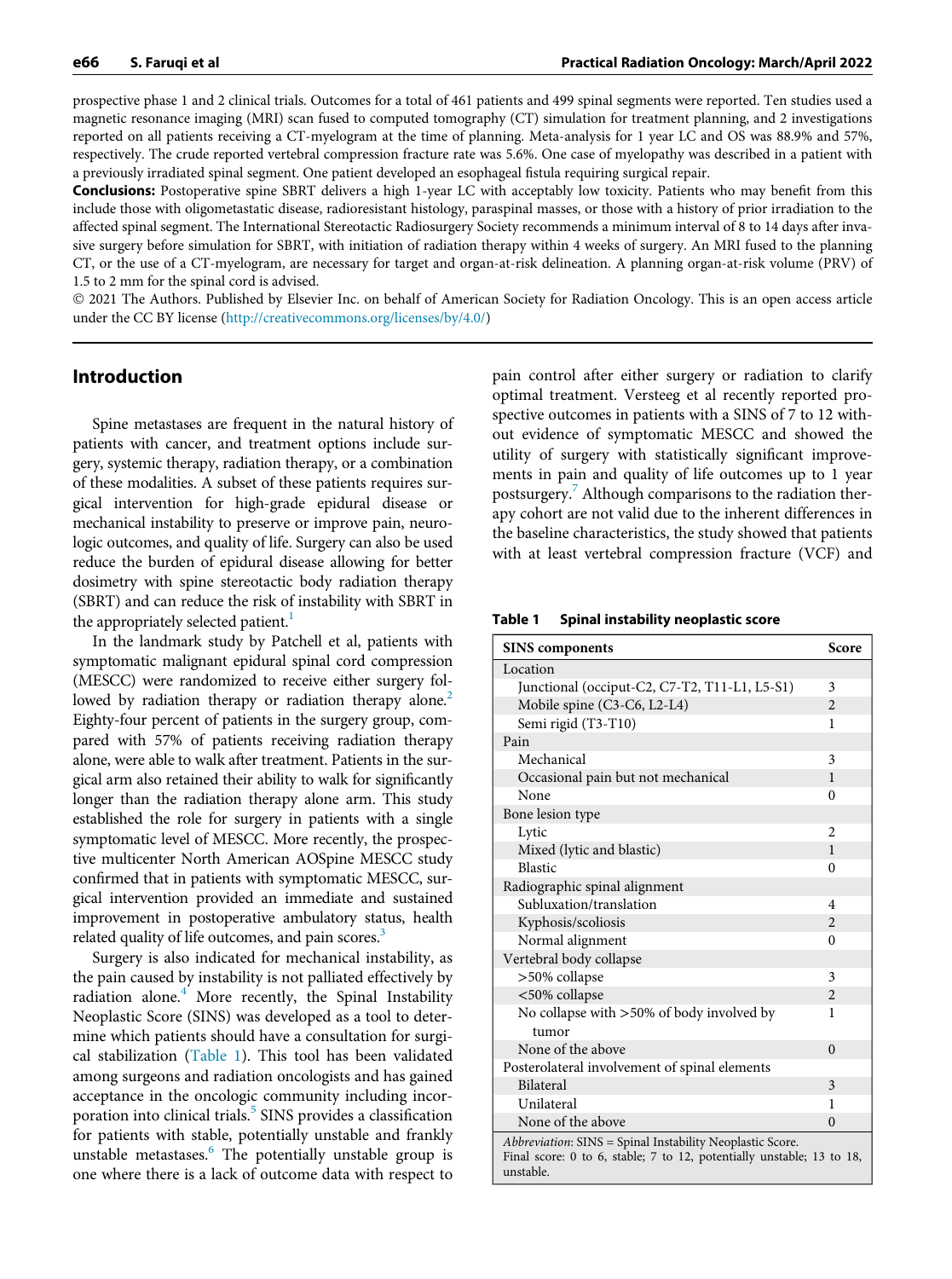prospective phase 1 and 2 clinical trials. Outcomes for a total of 461 patients and 499 spinal segments were reported. Ten studies used a magnetic resonance imaging (MRI) scan fused to computed tomography (CT) simulation for treatment planning, and 2 investigations reported on all patients receiving a CT-myelogram at the time of planning. Meta-analysis for 1 year LC and OS was 88.9% and 57%, respectively. The crude reported vertebral compression fracture rate was 5.6%. One case of myelopathy was described in a patient with a previously irradiated spinal segment. One patient developed an esophageal fistula requiring surgical repair.

Conclusions: Postoperative spine SBRT delivers a high 1-year LC with acceptably low toxicity. Patients who may benefit from this include those with oligometastatic disease, radioresistant histology, paraspinal masses, or those with a history of prior irradiation to the affected spinal segment. The International Stereotactic Radiosurgery Society recommends a minimum interval of 8 to 14 days after invasive surgery before simulation for SBRT, with initiation of radiation therapy within 4 weeks of surgery. An MRI fused to the planning CT, or the use of a CT-myelogram, are necessary for target and organ-at-risk delineation. A planning organ-at-risk volume (PRV) of 1.5 to 2 mm for the spinal cord is advised.

 2021 The Authors. Published by Elsevier Inc. on behalf of American Society for Radiation Oncology. This is an open access article under the CC BY license (<http://creativecommons.org/licenses/by/4.0/>)

#### Introduction

Spine metastases are frequent in the natural history of patients with cancer, and treatment options include surgery, systemic therapy, radiation therapy, or a combination of these modalities. A subset of these patients requires surgical intervention for high-grade epidural disease or mechanical instability to preserve or improve pain, neurologic outcomes, and quality of life. Surgery can also be used reduce the burden of epidural disease allowing for better dosimetry with spine stereotactic body radiation therapy (SBRT) and can reduce the risk of instability with SBRT in the appropriately selected patient.<sup>[1](#page-12-0)</sup>

<span id="page-1-0"></span>In the landmark study by Patchell et al, patients with symptomatic malignant epidural spinal cord compression (MESCC) were randomized to receive either surgery fol-lowed by radiation therapy or radiation therapy alone.<sup>[2](#page-12-1)</sup> Eighty-four percent of patients in the surgery group, compared with 57% of patients receiving radiation therapy alone, were able to walk after treatment. Patients in the surgical arm also retained their ability to walk for significantly longer than the radiation therapy alone arm. This study established the role for surgery in patients with a single symptomatic level of MESCC. More recently, the prospective multicenter North American AOSpine MESCC study confirmed that in patients with symptomatic MESCC, surgical intervention provided an immediate and sustained improvement in postoperative ambulatory status, health related quality of life outcomes, and pain scores.<sup>3</sup>

Surgery is also indicated for mechanical instability, as the pain caused by instability is not palliated effectively by radiation alone. $4$  More recently, the Spinal Instability Neoplastic Score (SINS) was developed as a tool to determine which patients should have a consultation for surgi-cal stabilization [\(Table 1](#page-1-0)). This tool has been validated among surgeons and radiation oncologists and has gained acceptance in the oncologic community including incor-poration into clinical trials.<sup>[5](#page-12-4)</sup> SINS provides a classification for patients with stable, potentially unstable and frankly unstable metastases.<sup>[6](#page-12-5)</sup> The potentially unstable group is one where there is a lack of outcome data with respect to

pain control after either surgery or radiation to clarify optimal treatment. Versteeg et al recently reported prospective outcomes in patients with a SINS of 7 to 12 without evidence of symptomatic MESCC and showed the utility of surgery with statistically significant improvements in pain and quality of life outcomes up to 1 year postsurgery.[7](#page-12-6) Although comparisons to the radiation therapy cohort are not valid due to the inherent differences in the baseline characteristics, the study showed that patients with at least vertebral compression fracture (VCF) and

Table 1 Spinal instability neoplastic score

| <b>SINS</b> components                                                                                                                          | Score                    |
|-------------------------------------------------------------------------------------------------------------------------------------------------|--------------------------|
| Location                                                                                                                                        |                          |
| Junctional (occiput-C2, C7-T2, T11-L1, L5-S1)                                                                                                   | 3                        |
| Mobile spine (C3-C6, L2-L4)                                                                                                                     | $\overline{\mathcal{L}}$ |
| Semi rigid (T3-T10)                                                                                                                             | 1                        |
| Pain                                                                                                                                            |                          |
| Mechanical                                                                                                                                      | 3                        |
| Occasional pain but not mechanical                                                                                                              | $\mathbf{1}$             |
| None                                                                                                                                            | $\Omega$                 |
| Bone lesion type                                                                                                                                |                          |
| Lytic                                                                                                                                           | 2                        |
| Mixed (lytic and blastic)                                                                                                                       | $\mathbf{1}$             |
| <b>Blastic</b>                                                                                                                                  | $\theta$                 |
| Radiographic spinal alignment                                                                                                                   |                          |
| Subluxation/translation                                                                                                                         | 4                        |
| Kyphosis/scoliosis                                                                                                                              | $\overline{2}$           |
| Normal alignment                                                                                                                                | $\theta$                 |
| Vertebral body collapse                                                                                                                         |                          |
| >50% collapse                                                                                                                                   | 3                        |
| <50% collapse                                                                                                                                   | $\overline{2}$           |
| No collapse with >50% of body involved by                                                                                                       | 1                        |
| tumor                                                                                                                                           |                          |
| None of the above                                                                                                                               | $\Omega$                 |
| Posterolateral involvement of spinal elements                                                                                                   |                          |
| <b>Bilateral</b>                                                                                                                                | 3                        |
| Unilateral                                                                                                                                      | 1                        |
| None of the above                                                                                                                               | $\Omega$                 |
| Abbreviation: SINS = Spinal Instability Neoplastic Score.<br>Final score: 0 to 6, stable; 7 to 12, potentially unstable; 13 to 18,<br>unstable. |                          |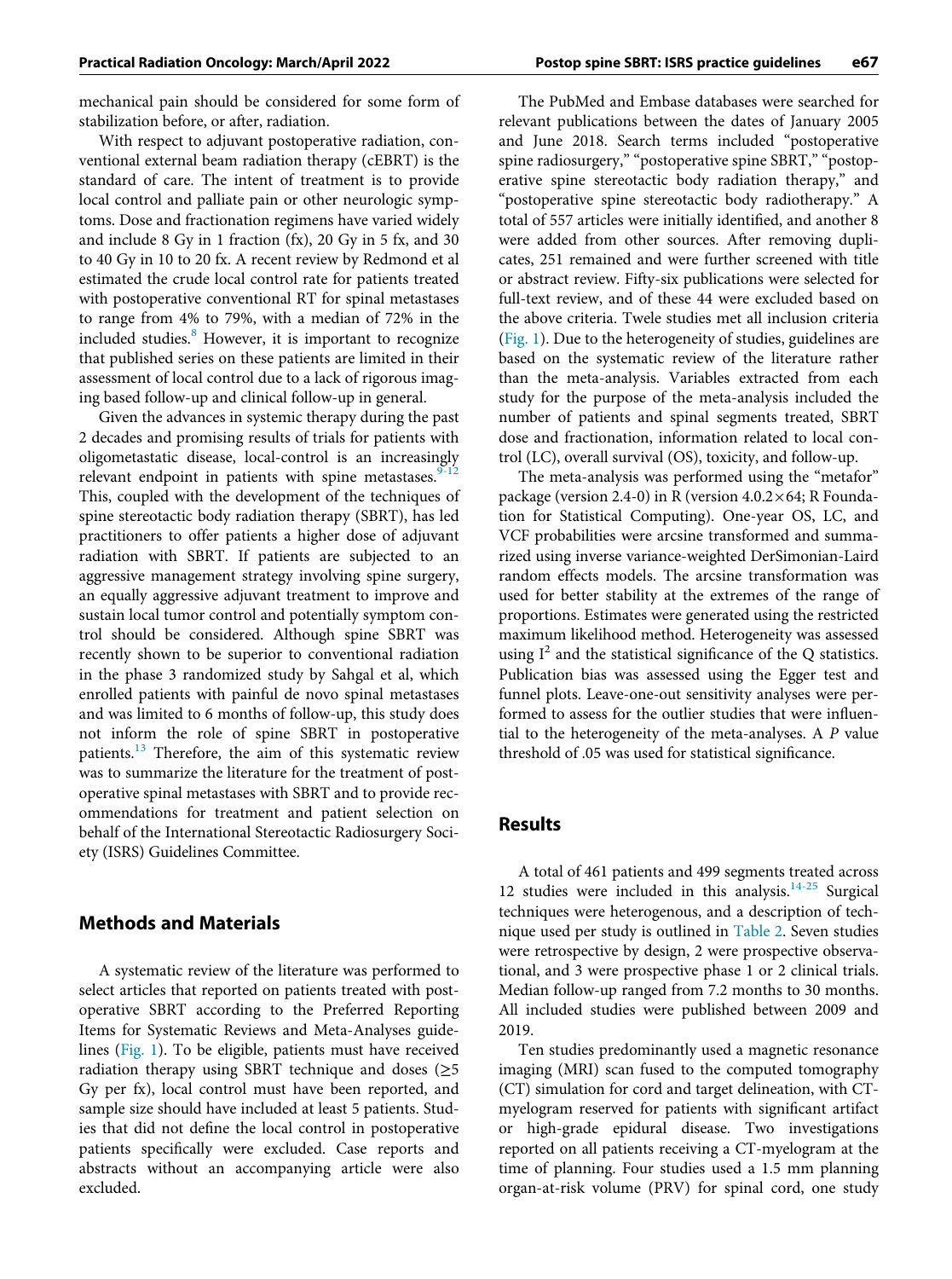mechanical pain should be considered for some form of stabilization before, or after, radiation.

With respect to adjuvant postoperative radiation, conventional external beam radiation therapy (cEBRT) is the standard of care. The intent of treatment is to provide local control and palliate pain or other neurologic symptoms. Dose and fractionation regimens have varied widely and include 8 Gy in 1 fraction (fx), 20 Gy in 5 fx, and 30 to 40 Gy in 10 to 20 fx. A recent review by Redmond et al estimated the crude local control rate for patients treated with postoperative conventional RT for spinal metastases to range from 4% to 79%, with a median of 72% in the included studies.<sup>[8](#page-12-7)</sup> However, it is important to recognize that published series on these patients are limited in their assessment of local control due to a lack of rigorous imaging based follow-up and clinical follow-up in general.

Given the advances in systemic therapy during the past 2 decades and promising results of trials for patients with oligometastatic disease, local-control is an increasingly relevant endpoint in patients with spine metastases.<sup>9</sup> This, coupled with the development of the techniques of spine stereotactic body radiation therapy (SBRT), has led practitioners to offer patients a higher dose of adjuvant radiation with SBRT. If patients are subjected to an aggressive management strategy involving spine surgery, an equally aggressive adjuvant treatment to improve and sustain local tumor control and potentially symptom control should be considered. Although spine SBRT was recently shown to be superior to conventional radiation in the phase 3 randomized study by Sahgal et al, which enrolled patients with painful de novo spinal metastases and was limited to 6 months of follow-up, this study does not inform the role of spine SBRT in postoperative patients.<sup>[13](#page-12-9)</sup> Therefore, the aim of this systematic review was to summarize the literature for the treatment of postoperative spinal metastases with SBRT and to provide recommendations for treatment and patient selection on behalf of the International Stereotactic Radiosurgery Society (ISRS) Guidelines Committee.

#### Methods and Materials

A systematic review of the literature was performed to select articles that reported on patients treated with postoperative SBRT according to the Preferred Reporting Items for Systematic Reviews and Meta-Analyses guidelines ([Fig. 1\)](#page-3-0). To be eligible, patients must have received radiation therapy using SBRT technique and doses ( $\geq$ 5 Gy per fx), local control must have been reported, and sample size should have included at least 5 patients. Studies that did not define the local control in postoperative patients specifically were excluded. Case reports and abstracts without an accompanying article were also excluded.

The PubMed and Embase databases were searched for relevant publications between the dates of January 2005 and June 2018. Search terms included "postoperative spine radiosurgery," "postoperative spine SBRT," "postoperative spine stereotactic body radiation therapy," and "postoperative spine stereotactic body radiotherapy." A total of 557 articles were initially identified, and another 8 were added from other sources. After removing duplicates, 251 remained and were further screened with title or abstract review. Fifty-six publications were selected for full-text review, and of these 44 were excluded based on the above criteria. Twele studies met all inclusion criteria [\(Fig. 1](#page-3-0)). Due to the heterogeneity of studies, guidelines are based on the systematic review of the literature rather than the meta-analysis. Variables extracted from each study for the purpose of the meta-analysis included the number of patients and spinal segments treated, SBRT dose and fractionation, information related to local control (LC), overall survival (OS), toxicity, and follow-up.

The meta-analysis was performed using the "metafor" package (version 2.4-0) in R (version  $4.0.2 \times 64$ ; R Foundation for Statistical Computing). One-year OS, LC, and VCF probabilities were arcsine transformed and summarized using inverse variance-weighted DerSimonian-Laird random effects models. The arcsine transformation was used for better stability at the extremes of the range of proportions. Estimates were generated using the restricted maximum likelihood method. Heterogeneity was assessed using  $I^2$  and the statistical significance of the Q statistics. Publication bias was assessed using the Egger test and funnel plots. Leave-one-out sensitivity analyses were performed to assess for the outlier studies that were influential to the heterogeneity of the meta-analyses. A P value threshold of .05 was used for statistical significance.

# Results

A total of 461 patients and 499 segments treated across 12 studies were included in this analysis. $14-25$  Surgical techniques were heterogenous, and a description of technique used per study is outlined in [Table 2.](#page-4-0) Seven studies were retrospective by design, 2 were prospective observational, and 3 were prospective phase 1 or 2 clinical trials. Median follow-up ranged from 7.2 months to 30 months. All included studies were published between 2009 and 2019.

Ten studies predominantly used a magnetic resonance imaging (MRI) scan fused to the computed tomography (CT) simulation for cord and target delineation, with CTmyelogram reserved for patients with significant artifact or high-grade epidural disease. Two investigations reported on all patients receiving a CT-myelogram at the time of planning. Four studies used a 1.5 mm planning organ-at-risk volume (PRV) for spinal cord, one study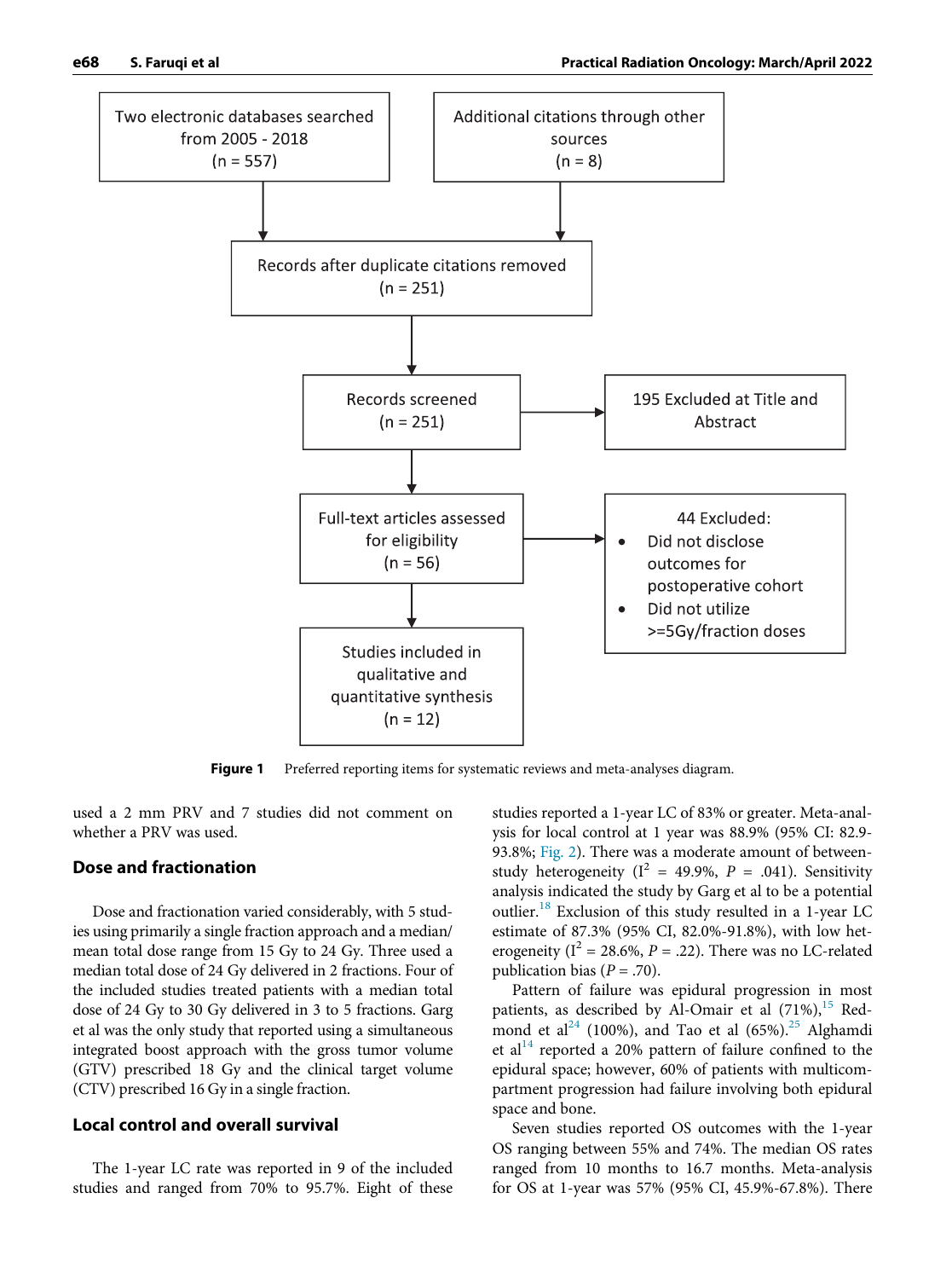<span id="page-3-0"></span>

Figure 1 Preferred reporting items for systematic reviews and meta-analyses diagram.

used a 2 mm PRV and 7 studies did not comment on whether a PRV was used.

#### Dose and fractionation

Dose and fractionation varied considerably, with 5 studies using primarily a single fraction approach and a median/ mean total dose range from 15 Gy to 24 Gy. Three used a median total dose of 24 Gy delivered in 2 fractions. Four of the included studies treated patients with a median total dose of 24 Gy to 30 Gy delivered in 3 to 5 fractions. Garg et al was the only study that reported using a simultaneous integrated boost approach with the gross tumor volume (GTV) prescribed 18 Gy and the clinical target volume (CTV) prescribed 16 Gy in a single fraction.

## Local control and overall survival

The 1-year LC rate was reported in 9 of the included studies and ranged from 70% to 95.7%. Eight of these

studies reported a 1-year LC of 83% or greater. Meta-analysis for local control at 1 year was 88.9% (95% CI: 82.9- 93.8%; [Fig. 2\)](#page-7-0). There was a moderate amount of betweenstudy heterogeneity ( $I^2 = 49.9\%$ ,  $P = .041$ ). Sensitivity analysis indicated the study by Garg et al to be a potential outlier.[18](#page-12-11) Exclusion of this study resulted in a 1-year LC estimate of 87.3% (95% CI, 82.0%-91.8%), with low heterogeneity ( $I^2 = 28.6\%$ ,  $P = .22$ ). There was no LC-related publication bias ( $P = .70$ ).

Pattern of failure was epidural progression in most patients, as described by Al-Omair et al (71%),<sup>[15](#page-12-12)</sup> Red-mond et al<sup>[24](#page-12-13)</sup> (100%), and Tao et al (65%).<sup>[25](#page-12-14)</sup> Alghamdi et al<sup>[14](#page-12-10)</sup> reported a 20% pattern of failure confined to the epidural space; however, 60% of patients with multicompartment progression had failure involving both epidural space and bone.

Seven studies reported OS outcomes with the 1-year OS ranging between 55% and 74%. The median OS rates ranged from 10 months to 16.7 months. Meta-analysis for OS at 1-year was 57% (95% CI, 45.9%-67.8%). There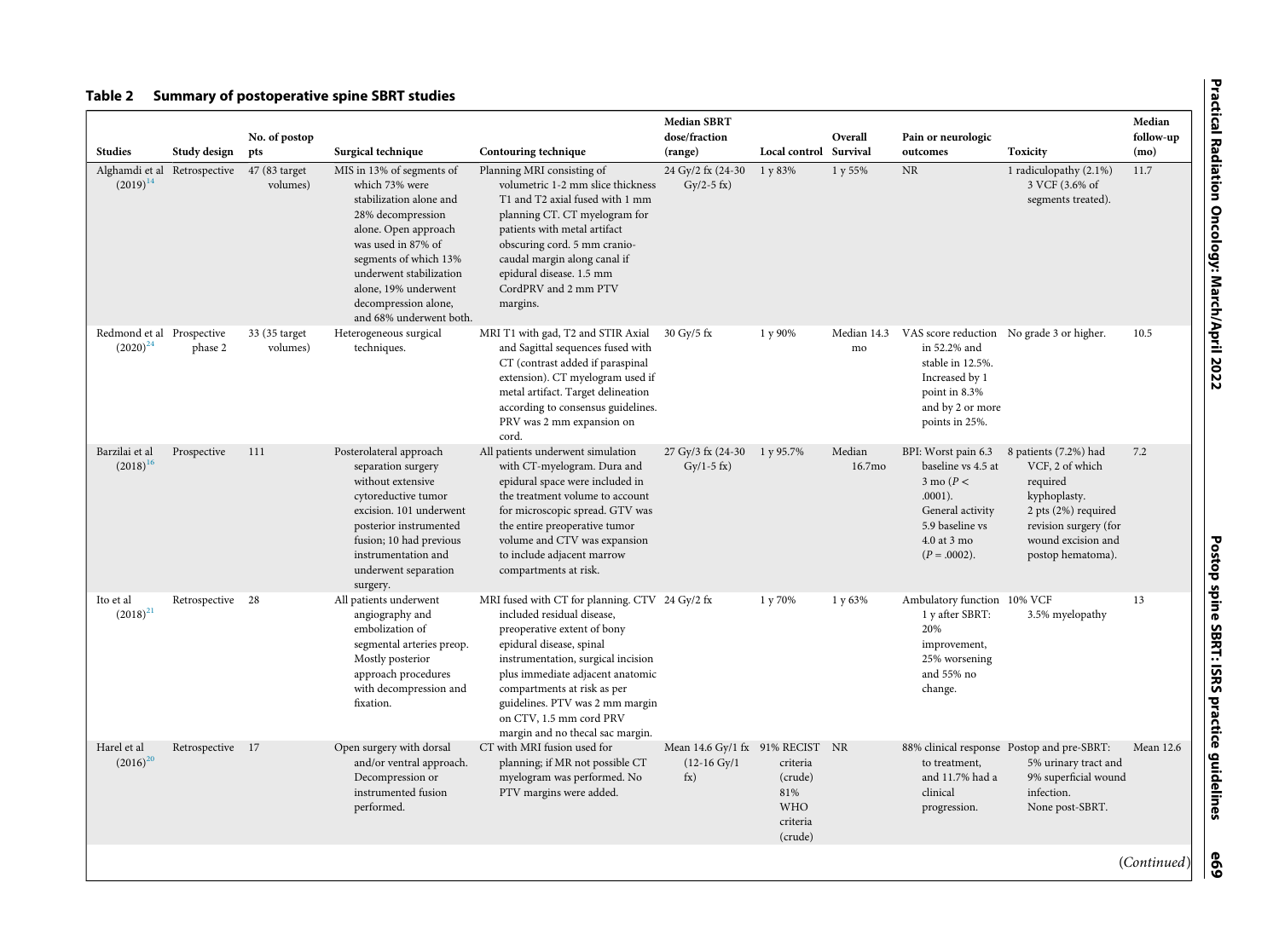#### <span id="page-4-0"></span>Table 2 Summary of postoperative spine SBRT studies

| <b>Studies</b>                             | Study design                 | No. of postop<br>pts      | Surgical technique                                                                                                                                                                                                                                                       | Contouring technique                                                                                                                                                                                                                                                                                                                               | <b>Median SBRT</b><br>dose/fraction<br>(range)                         | Local control                                                   | Overall<br>Survival | Pain or neurologic<br>outcomes                                                                                                                           | <b>Toxicity</b>                                                                                                                                                 | Median<br>follow-up<br>(mo) |
|--------------------------------------------|------------------------------|---------------------------|--------------------------------------------------------------------------------------------------------------------------------------------------------------------------------------------------------------------------------------------------------------------------|----------------------------------------------------------------------------------------------------------------------------------------------------------------------------------------------------------------------------------------------------------------------------------------------------------------------------------------------------|------------------------------------------------------------------------|-----------------------------------------------------------------|---------------------|----------------------------------------------------------------------------------------------------------------------------------------------------------|-----------------------------------------------------------------------------------------------------------------------------------------------------------------|-----------------------------|
| $(2019)^{14}$                              | Alghamdi et al Retrospective | 47 (83 target<br>volumes) | MIS in 13% of segments of<br>which 73% were<br>stabilization alone and<br>28% decompression<br>alone. Open approach<br>was used in 87% of<br>segments of which 13%<br>underwent stabilization<br>alone, 19% underwent<br>decompression alone,<br>and 68% underwent both. | Planning MRI consisting of<br>volumetric 1-2 mm slice thickness<br>T1 and T2 axial fused with 1 mm<br>planning CT. CT myelogram for<br>patients with metal artifact<br>obscuring cord. 5 mm cranio-<br>caudal margin along canal if<br>epidural disease. 1.5 mm<br>CordPRV and 2 mm PTV<br>margins.                                                | 24 Gy/2 fx (24-30)<br>$Gy/2-5$ fx)                                     | 1 y 83%                                                         | 1 y 55%             | <b>NR</b>                                                                                                                                                | 1 radiculopathy (2.1%)<br>3 VCF (3.6% of<br>segments treated).                                                                                                  | 11.7                        |
| Redmond et al Prospective<br>$(2020)^{24}$ | phase 2                      | 33 (35 target<br>volumes) | Heterogeneous surgical<br>techniques.                                                                                                                                                                                                                                    | MRI T1 with gad, T2 and STIR Axial<br>and Sagittal sequences fused with<br>CT (contrast added if paraspinal<br>extension). CT myelogram used if<br>metal artifact. Target delineation<br>according to consensus guidelines.<br>PRV was 2 mm expansion on<br>cord.                                                                                  | $30 \text{ Gy}/5 \text{ fx}$                                           | 1 y 90%                                                         | Median 14.3<br>mo   | in 52.2% and<br>stable in 12.5%.<br>Increased by 1<br>point in 8.3%<br>and by 2 or more<br>points in 25%.                                                | VAS score reduction No grade 3 or higher.                                                                                                                       | 10.5                        |
| Barzilai et al<br>$(2018)^{16}$            | Prospective                  | 111                       | Posterolateral approach<br>separation surgery<br>without extensive<br>cytoreductive tumor<br>excision. 101 underwent<br>posterior instrumented<br>fusion; 10 had previous<br>instrumentation and<br>underwent separation<br>surgery.                                     | All patients underwent simulation<br>with CT-myelogram. Dura and<br>epidural space were included in<br>the treatment volume to account<br>for microscopic spread. GTV was<br>the entire preoperative tumor<br>volume and CTV was expansion<br>to include adjacent marrow<br>compartments at risk.                                                  | 27 Gy/3 fx (24-30)<br>$Gy/1-5$ fx)                                     | 1 y 95.7%                                                       | Median<br>16.7mo    | BPI: Worst pain 6.3<br>baseline vs 4.5 at<br>$3 \text{ mo} (P \leq$<br>$.0001$ ).<br>General activity<br>5.9 baseline vs<br>4.0 at 3 mo<br>$(P=.0002)$ . | 8 patients (7.2%) had<br>VCF, 2 of which<br>required<br>kyphoplasty.<br>2 pts (2%) required<br>revision surgery (for<br>wound excision and<br>postop hematoma). | 7.2                         |
| Ito et al<br>$(2018)^{21}$                 | Retrospective 28             |                           | All patients underwent<br>angiography and<br>embolization of<br>segmental arteries preop.<br>Mostly posterior<br>approach procedures<br>with decompression and<br>fixation.                                                                                              | MRI fused with CT for planning. CTV 24 Gy/2 fx<br>included residual disease,<br>preoperative extent of bony<br>epidural disease, spinal<br>instrumentation, surgical incision<br>plus immediate adjacent anatomic<br>compartments at risk as per<br>guidelines. PTV was 2 mm margin<br>on CTV, 1.5 mm cord PRV<br>margin and no thecal sac margin. |                                                                        | 1 y 70%                                                         | 1 y 63%             | Ambulatory function 10% VCF<br>1 y after SBRT:<br>20%<br>improvement,<br>25% worsening<br>and 55% no<br>change.                                          | 3.5% myelopathy                                                                                                                                                 | 13                          |
| Harel et al<br>$(2016)^{20}$               | Retrospective 17             |                           | Open surgery with dorsal<br>and/or ventral approach.<br>Decompression or<br>instrumented fusion<br>performed.                                                                                                                                                            | CT with MRI fusion used for<br>planning; if MR not possible CT<br>myelogram was performed. No<br>PTV margins were added.                                                                                                                                                                                                                           | Mean 14.6 Gy/1 fx 91% RECIST<br>$(12-16 \text{ Gy}/1$<br>$f_{\rm X}$ ) | criteria<br>(crude)<br>81%<br><b>WHO</b><br>criteria<br>(crude) | NR                  | to treatment,<br>and 11.7% had a<br>clinical<br>progression.                                                                                             | 88% clinical response Postop and pre-SBRT:<br>5% urinary tract and<br>9% superficial wound<br>infection.<br>None post-SBRT.                                     | Mean 12.6                   |
|                                            |                              |                           |                                                                                                                                                                                                                                                                          |                                                                                                                                                                                                                                                                                                                                                    |                                                                        |                                                                 |                     |                                                                                                                                                          |                                                                                                                                                                 | (Continued)                 |

e69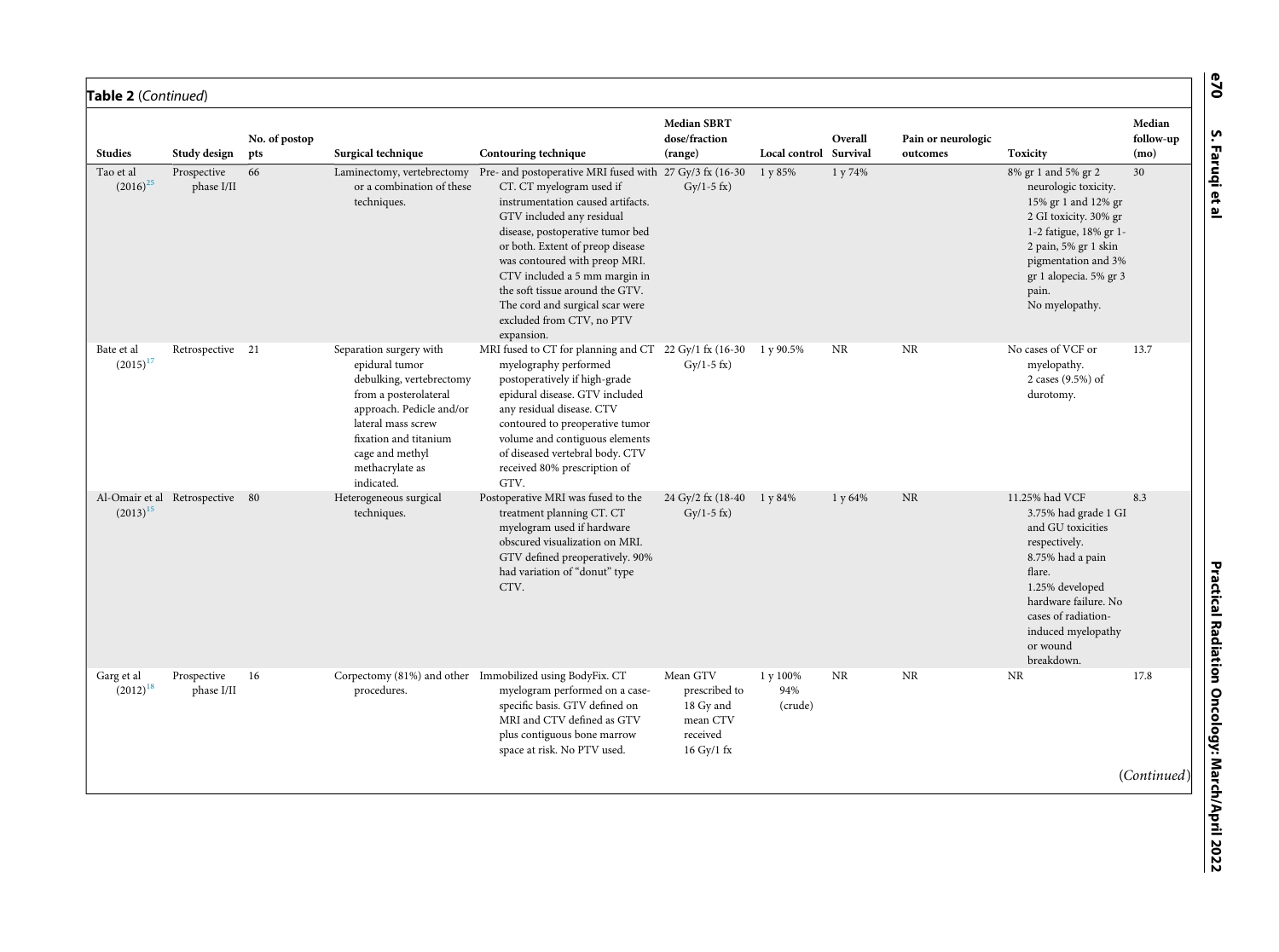| Table 2 (Continued)              |                                 |                      |                                                                                                                                                                                                                               |                                                                                                                                                                                                                                                                                                                                                                                                                  |                                                                                   |                            |         |                                |                                                                                                                                                                                                                              |                             |
|----------------------------------|---------------------------------|----------------------|-------------------------------------------------------------------------------------------------------------------------------------------------------------------------------------------------------------------------------|------------------------------------------------------------------------------------------------------------------------------------------------------------------------------------------------------------------------------------------------------------------------------------------------------------------------------------------------------------------------------------------------------------------|-----------------------------------------------------------------------------------|----------------------------|---------|--------------------------------|------------------------------------------------------------------------------------------------------------------------------------------------------------------------------------------------------------------------------|-----------------------------|
| <b>Studies</b>                   | Study design                    | No. of postop<br>pts | Surgical technique                                                                                                                                                                                                            | Contouring technique                                                                                                                                                                                                                                                                                                                                                                                             | <b>Median SBRT</b><br>dose/fraction<br>(range)                                    | Local control Survival     | Overall | Pain or neurologic<br>outcomes | Toxicity                                                                                                                                                                                                                     | Median<br>follow-up<br>(mo) |
| Tao et al<br>$(2016)^{25}$       | Prospective<br>phase I/II       | 66                   | Laminectomy, vertebrectomy<br>or a combination of these<br>techniques.                                                                                                                                                        | Pre- and postoperative MRI fused with 27 Gy/3 fx (16-30<br>CT. CT myelogram used if<br>instrumentation caused artifacts.<br>GTV included any residual<br>disease, postoperative tumor bed<br>or both. Extent of preop disease<br>was contoured with preop MRI.<br>CTV included a 5 mm margin in<br>the soft tissue around the GTV.<br>The cord and surgical scar were<br>excluded from CTV, no PTV<br>expansion. | $Gy/1-5$ fx)                                                                      | 1 y 85%                    | 1 y 74% |                                | 8% gr 1 and 5% gr 2<br>neurologic toxicity.<br>15% gr 1 and 12% gr<br>2 GI toxicity. 30% gr<br>1-2 fatigue, 18% gr 1-<br>2 pain, 5% gr 1 skin<br>pigmentation and 3%<br>gr 1 alopecia. 5% gr 3<br>pain.<br>No myelopathy.    | 30                          |
| Bate et al<br>$(2015)^{17}$      | Retrospective 21                |                      | Separation surgery with<br>epidural tumor<br>debulking, vertebrectomy<br>from a posterolateral<br>approach. Pedicle and/or<br>lateral mass screw<br>fixation and titanium<br>cage and methyl<br>methacrylate as<br>indicated. | MRI fused to CT for planning and CT 22 Gy/1 fx (16-30<br>myelography performed<br>postoperatively if high-grade<br>epidural disease. GTV included<br>any residual disease. CTV<br>contoured to preoperative tumor<br>volume and contiguous elements<br>of diseased vertebral body. CTV<br>received 80% prescription of<br>GTV.                                                                                   | $Gv/1-5$ fx)                                                                      | 1 y 90.5%                  | NR      | NR                             | No cases of VCF or<br>myelopathy.<br>2 cases (9.5%) of<br>durotomy.                                                                                                                                                          | 13.7                        |
| $(2013)^{15}$                    | Al-Omair et al Retrospective 80 |                      | Heterogeneous surgical<br>techniques.                                                                                                                                                                                         | Postoperative MRI was fused to the<br>treatment planning CT. CT<br>myelogram used if hardware<br>obscured visualization on MRI.<br>GTV defined preoperatively. 90%<br>had variation of "donut" type<br>CTV.                                                                                                                                                                                                      | 24 Gy/2 fx (18-40)<br>$Gy/1-5$ fx)                                                | 1 y 84%                    | 1 y 64% | <b>NR</b>                      | 11.25% had VCF<br>3.75% had grade 1 GI<br>and GU toxicities<br>respectively.<br>8.75% had a pain<br>flare.<br>1.25% developed<br>hardware failure. No<br>cases of radiation-<br>induced myelopathy<br>or wound<br>breakdown. | 8.3                         |
| Garg et al $\,$<br>$(2012)^{18}$ | Prospective<br>phase I/II       | 16                   | procedures.                                                                                                                                                                                                                   | Corpectomy (81%) and other Immobilized using BodyFix. CT<br>myelogram performed on a case-<br>specific basis. GTV defined on<br>MRI and CTV defined as GTV<br>plus contiguous bone marrow<br>space at risk. No PTV used.                                                                                                                                                                                         | Mean GTV<br>prescribed to<br>18 Gy and<br>mean CTV<br>received<br>$16$ Gy/ $1$ fx | 1 y 100%<br>94%<br>(crude) | NR      | NR                             | <b>NR</b>                                                                                                                                                                                                                    | 17.8                        |
|                                  |                                 |                      |                                                                                                                                                                                                                               |                                                                                                                                                                                                                                                                                                                                                                                                                  |                                                                                   |                            |         |                                |                                                                                                                                                                                                                              | (Continued)                 |

S. Faruqi et al

e70

S. Faruqi et al Practical Radiation Oncology: March/April 2022Practical Radiation Oncology: March/April 2022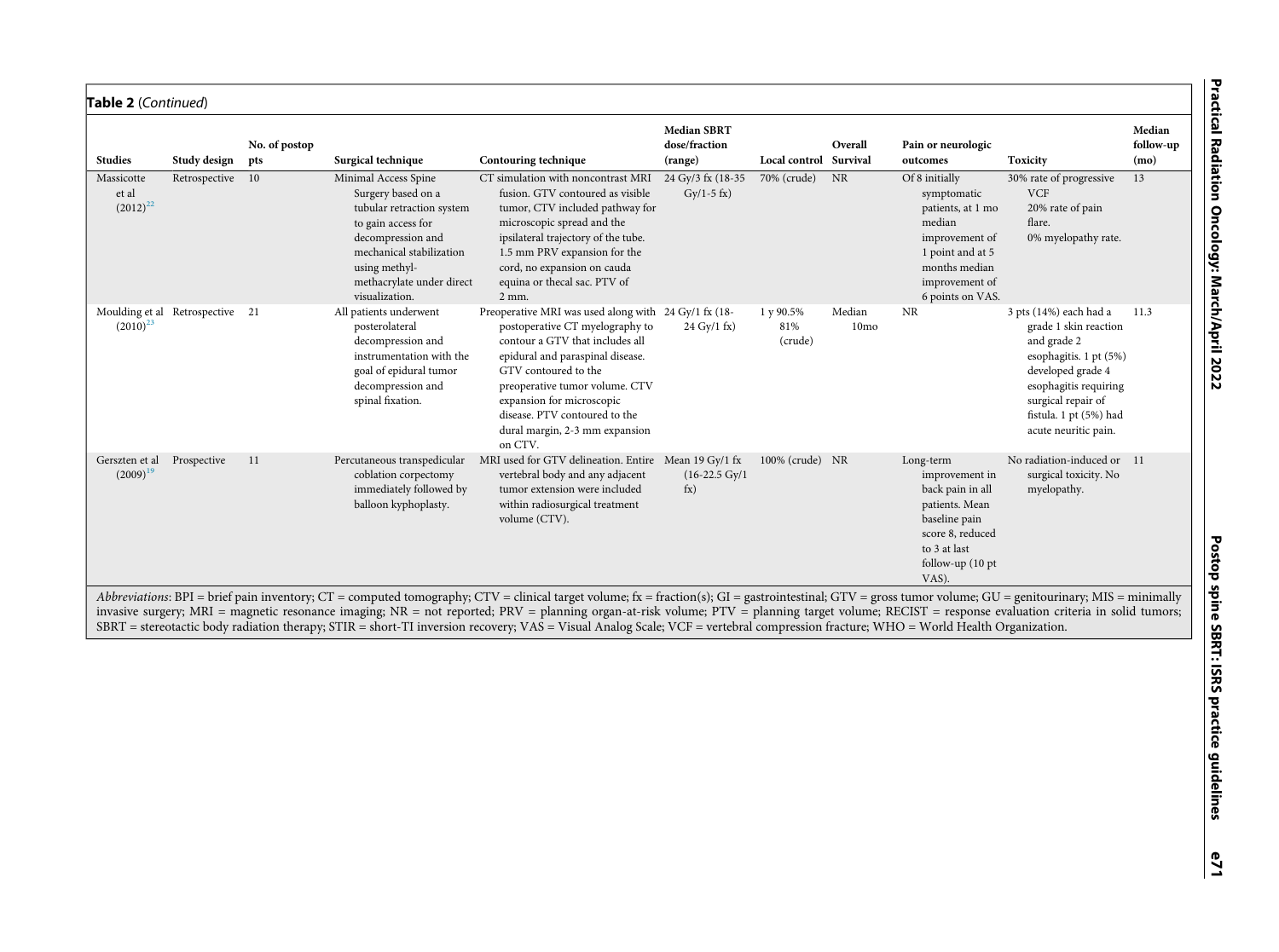| Median<br>follow-up<br>(mo)<br>13 | ים כנוכם.<br>פ<br>R<br>lation<br>Ξ<br><b>Oncolog</b> |
|-----------------------------------|------------------------------------------------------|
| 11.3                              |                                                      |

| <b>Studies</b>                                                                                                                                                                                                                                                                                                                                                                                                                                                                                                                                                                                     | Study design                 | No. of postop<br>pts | Surgical technique                                                                                                                                                                                             | Contouring technique                                                                                                                                                                                                                                                                                                                | <b>Median SBRT</b><br>dose/fraction<br>(range) | Local control Survival      | Overall                    | Pain or neurologic<br>outcomes                                                                                                                            | Toxicity                                                                                                                                                                                                       | Median<br>follow-up<br>(mo) |
|----------------------------------------------------------------------------------------------------------------------------------------------------------------------------------------------------------------------------------------------------------------------------------------------------------------------------------------------------------------------------------------------------------------------------------------------------------------------------------------------------------------------------------------------------------------------------------------------------|------------------------------|----------------------|----------------------------------------------------------------------------------------------------------------------------------------------------------------------------------------------------------------|-------------------------------------------------------------------------------------------------------------------------------------------------------------------------------------------------------------------------------------------------------------------------------------------------------------------------------------|------------------------------------------------|-----------------------------|----------------------------|-----------------------------------------------------------------------------------------------------------------------------------------------------------|----------------------------------------------------------------------------------------------------------------------------------------------------------------------------------------------------------------|-----------------------------|
| Massicotte<br>et al<br>$(2012)^{22}$                                                                                                                                                                                                                                                                                                                                                                                                                                                                                                                                                               | Retrospective                | - 10                 | Minimal Access Spine<br>Surgery based on a<br>tubular retraction system<br>to gain access for<br>decompression and<br>mechanical stabilization<br>using methyl-<br>methacrylate under direct<br>visualization. | CT simulation with noncontrast MRI<br>fusion. GTV contoured as visible<br>tumor, CTV included pathway for<br>microscopic spread and the<br>ipsilateral trajectory of the tube.<br>1.5 mm PRV expansion for the<br>cord, no expansion on cauda<br>equina or thecal sac. PTV of<br>$2$ mm.                                            | 24 Gy/3 fx (18-35)<br>$Gv/1-5$ fx)             | 70% (crude)                 | <b>NR</b>                  | Of 8 initially<br>symptomatic<br>patients, at 1 mo<br>median<br>improvement of<br>1 point and at 5<br>months median<br>improvement of<br>6 points on VAS. | 30% rate of progressive<br><b>VCF</b><br>20% rate of pain<br>flare.<br>0% myelopathy rate.                                                                                                                     | 13                          |
| $(2010)^{23}$                                                                                                                                                                                                                                                                                                                                                                                                                                                                                                                                                                                      | Moulding et al Retrospective | 21                   | All patients underwent<br>posterolateral<br>decompression and<br>instrumentation with the<br>goal of epidural tumor<br>decompression and<br>spinal fixation.                                                   | Preoperative MRI was used along with 24 Gy/1 fx (18-<br>postoperative CT myelography to<br>contour a GTV that includes all<br>epidural and paraspinal disease.<br>GTV contoured to the<br>preoperative tumor volume. CTV<br>expansion for microscopic<br>disease. PTV contoured to the<br>dural margin, 2-3 mm expansion<br>on CTV. | $24 \text{ Gy}/1 \text{ fx}$                   | 1 y 90.5%<br>81%<br>(crude) | Median<br>10 <sub>mo</sub> | <b>NR</b>                                                                                                                                                 | 3 pts (14%) each had a<br>grade 1 skin reaction<br>and grade 2<br>esophagitis. 1 pt (5%)<br>developed grade 4<br>esophagitis requiring<br>surgical repair of<br>fistula. 1 pt (5%) had<br>acute neuritic pain. | 11.3                        |
| Gerszten et al<br>$(2009)^{19}$                                                                                                                                                                                                                                                                                                                                                                                                                                                                                                                                                                    | Prospective                  | 11                   | Percutaneous transpedicular<br>coblation corpectomy<br>immediately followed by<br>balloon kyphoplasty.                                                                                                         | MRI used for GTV delineation. Entire Mean 19 Gy/1 fx<br>vertebral body and any adjacent<br>tumor extension were included<br>within radiosurgical treatment<br>volume (CTV).                                                                                                                                                         | $(16-22.5 \text{ Gy}/1$<br>$f_{\rm X}$ )       | 100% (crude) NR             |                            | Long-term<br>improvement in<br>back pain in all<br>patients. Mean<br>baseline pain<br>score 8, reduced<br>to 3 at last<br>follow-up (10 pt<br>VAS).       | No radiation-induced or 11<br>surgical toxicity. No<br>myelopathy.                                                                                                                                             |                             |
| Abbreviations: BPI = brief pain inventory; CT = computed tomography; CTV = clinical target volume; fx = fraction(s); GI = gastrointestinal; GTV = gross tumor volume; GU = genitourinary; MIS = minimally<br>invasive surgery; MRI = magnetic resonance imaging; NR = not reported; PRV = planning organ-at-risk volume; PTV = planning target volume; RECIST = response evaluation criteria in solid tumors;<br>SBRT = stereotactic body radiation therapy; STIR = short-TI inversion recovery; VAS = Visual Analog Scale; VCF = vertebral compression fracture; WHO = World Health Organization. |                              |                      |                                                                                                                                                                                                                |                                                                                                                                                                                                                                                                                                                                     |                                                |                             |                            |                                                                                                                                                           |                                                                                                                                                                                                                |                             |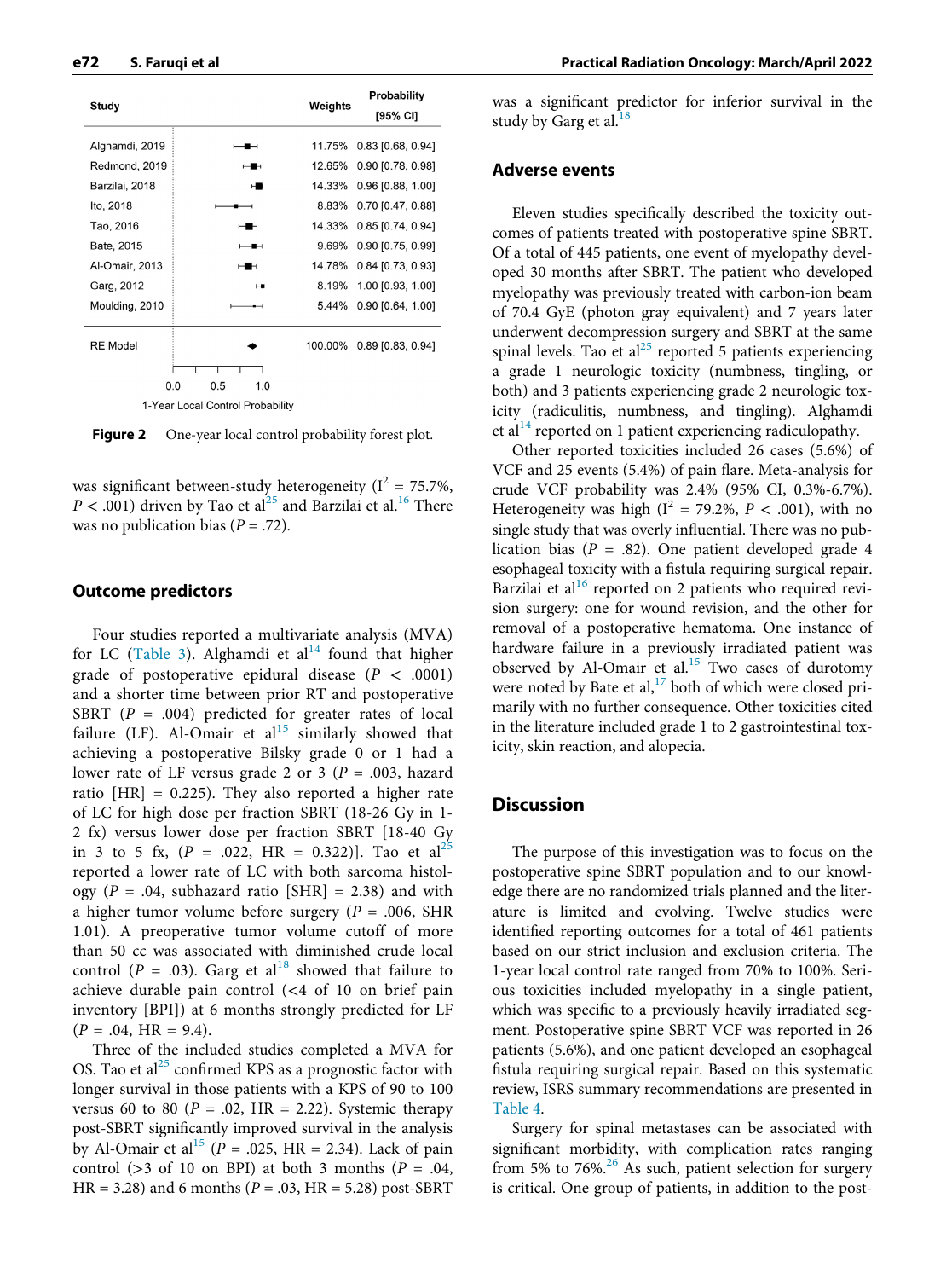<span id="page-7-0"></span>

|                 |                                  |         | <b>Probability</b>  |
|-----------------|----------------------------------|---------|---------------------|
| Study           |                                  | Weights | [95% CI]            |
| Alghamdi, 2019  | ╍                                | 11.75%  | $0.83$ [0.68, 0.94] |
| Redmond, 2019   | ⊶                                | 12.65%  | 0.90 [0.78, 0.98]   |
| Barzilai, 2018  | н                                | 14.33%  | $0.96$ [0.88, 1.00] |
| Ito, 2018       |                                  | 8.83%   | $0.70$ [0.47, 0.88] |
| Tao, 2016       | ⊶                                | 14.33%  | $0.85$ [0.74, 0.94] |
| Bate, 2015      | −                                | 9.69%   | $0.90$ [0.75, 0.99] |
| Al-Omair, 2013  | ⊶                                | 14.78%  | 0.84 [0.73, 0.93]   |
| Garg, 2012      | ⊶                                | 8.19%   | 1.00 [0.93, 1.00]   |
| Moulding, 2010  |                                  | 5.44%   | 0.90 [0.64, 1.00]   |
| <b>RE</b> Model |                                  | 100.00% | $0.89$ [0.83, 0.94] |
|                 |                                  |         |                     |
|                 | 0.0<br>0.5<br>1.0                |         |                     |
|                 | 1-Year Local Control Probability |         |                     |

Figure 2 One-year local control probability forest plot.

was significant between-study heterogeneity ( $I^2 = 75.7\%$ ,  $P < .001$ ) driven by Tao et al<sup>[25](#page-12-14)</sup> and Barzilai et al.<sup>[16](#page-12-27)</sup> There was no publication bias ( $P = .72$ ).

#### Outcome predictors

Four studies reported a multivariate analysis (MVA) for LC ([Table 3\)](#page-8-0). Alghamdi et al<sup>[14](#page-12-10)</sup> found that higher grade of postoperative epidural disease ( $P < .0001$ ) and a shorter time between prior RT and postoperative SBRT ( $P = .004$ ) predicted for greater rates of local failure (LF). Al-Omair et al<sup>[15](#page-12-12)</sup> similarly showed that achieving a postoperative Bilsky grade 0 or 1 had a lower rate of LF versus grade 2 or 3 ( $P = .003$ , hazard ratio [HR] = 0.225). They also reported a higher rate of LC for high dose per fraction SBRT (18-26 Gy in 1- 2 fx) versus lower dose per fraction SBRT [18-40 Gy in 3 to 5 fx,  $(P = .022, HR = 0.322)$ ]. Tao et al<sup>21</sup> reported a lower rate of LC with both sarcoma histology ( $P = .04$ , subhazard ratio [SHR] = 2.38) and with a higher tumor volume before surgery ( $P = .006$ , SHR 1.01). A preoperative tumor volume cutoff of more than 50 cc was associated with diminished crude local control ( $P = .03$ ). Garg et al<sup>[18](#page-12-11)</sup> showed that failure to achieve durable pain control (<4 of 10 on brief pain inventory [BPI]) at 6 months strongly predicted for LF  $(P = .04, HR = 9.4).$ 

Three of the included studies completed a MVA for OS. Tao et al $^{25}$  $^{25}$  $^{25}$  confirmed KPS as a prognostic factor with longer survival in those patients with a KPS of 90 to 100 versus 60 to 80 ( $P = .02$ , HR = 2.22). Systemic therapy post-SBRT significantly improved survival in the analysis by Al-Omair et al<sup>[15](#page-12-12)</sup> ( $P = .025$ , HR = 2.34). Lack of pain control ( $>$ 3 of 10 on BPI) at both 3 months ( $P = .04$ ,  $HR = 3.28$ ) and 6 months ( $P = .03$ ,  $HR = 5.28$ ) post-SBRT

was a significant predictor for inferior survival in the study by Garg et al. $18$ 

#### Adverse events

Eleven studies specifically described the toxicity outcomes of patients treated with postoperative spine SBRT. Of a total of 445 patients, one event of myelopathy developed 30 months after SBRT. The patient who developed myelopathy was previously treated with carbon-ion beam of 70.4 GyE (photon gray equivalent) and 7 years later underwent decompression surgery and SBRT at the same spinal levels. Tao et al<sup>[25](#page-12-14)</sup> reported 5 patients experiencing a grade 1 neurologic toxicity (numbness, tingling, or both) and 3 patients experiencing grade 2 neurologic toxicity (radiculitis, numbness, and tingling). Alghamdi et al<sup>14</sup> reported on 1 patient experiencing radiculopathy.

Other reported toxicities included 26 cases (5.6%) of VCF and 25 events (5.4%) of pain flare. Meta-analysis for crude VCF probability was 2.4% (95% CI, 0.3%-6.7%). Heterogeneity was high ( $I^2 = 79.2\%$ ,  $P < .001$ ), with no single study that was overly influential. There was no publication bias ( $P = .82$ ). One patient developed grade 4 esophageal toxicity with a fistula requiring surgical repair. Barzilai et al $^{16}$  $^{16}$  $^{16}$  reported on 2 patients who required revision surgery: one for wound revision, and the other for removal of a postoperative hematoma. One instance of hardware failure in a previously irradiated patient was observed by Al-Omair et al.<sup>[15](#page-12-12)</sup> Two cases of durotomy were noted by Bate et al, $^{17}$  both of which were closed primarily with no further consequence. Other toxicities cited in the literature included grade 1 to 2 gastrointestinal toxicity, skin reaction, and alopecia.

#### **Discussion**

The purpose of this investigation was to focus on the postoperative spine SBRT population and to our knowledge there are no randomized trials planned and the literature is limited and evolving. Twelve studies were identified reporting outcomes for a total of 461 patients based on our strict inclusion and exclusion criteria. The 1-year local control rate ranged from 70% to 100%. Serious toxicities included myelopathy in a single patient, which was specific to a previously heavily irradiated segment. Postoperative spine SBRT VCF was reported in 26 patients (5.6%), and one patient developed an esophageal fistula requiring surgical repair. Based on this systematic review, ISRS summary recommendations are presented in [Table 4](#page-9-0).

Surgery for spinal metastases can be associated with significant morbidity, with complication rates ranging from 5% to 76%.<sup>26</sup> As such, patient selection for surgery is critical. One group of patients, in addition to the post-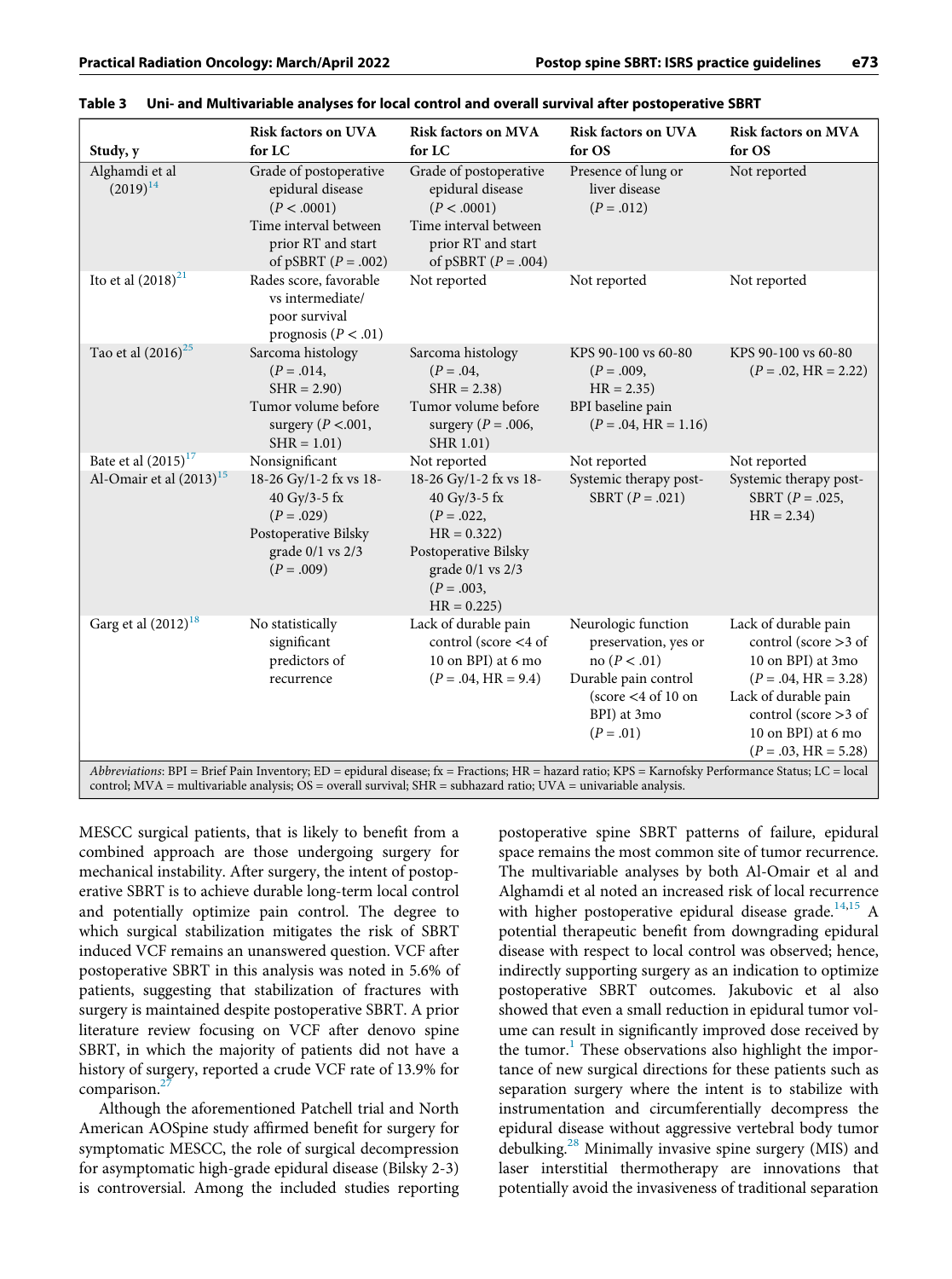| Study, y                                                                                                                                                                                                                                                                      | <b>Risk factors on UVA</b><br>for LC                                                                                            | <b>Risk factors on MVA</b><br>for LC                                                                                                                   | <b>Risk factors on UVA</b><br>for OS                                                                                                         | <b>Risk factors on MVA</b><br>for OS                                                                                                                                                          |  |  |
|-------------------------------------------------------------------------------------------------------------------------------------------------------------------------------------------------------------------------------------------------------------------------------|---------------------------------------------------------------------------------------------------------------------------------|--------------------------------------------------------------------------------------------------------------------------------------------------------|----------------------------------------------------------------------------------------------------------------------------------------------|-----------------------------------------------------------------------------------------------------------------------------------------------------------------------------------------------|--|--|
| Alghamdi et al<br>$(2019)^{14}$                                                                                                                                                                                                                                               | Grade of postoperative<br>epidural disease<br>(P < .0001)<br>Time interval between<br>prior RT and start<br>of pSBRT $(P=.002)$ | Grade of postoperative<br>epidural disease<br>(P < .0001)<br>Time interval between<br>prior RT and start<br>of pSBRT $(P=.004)$                        | Presence of lung or<br>liver disease<br>$(P=.012)$                                                                                           | Not reported                                                                                                                                                                                  |  |  |
| Ito et al $(2018)^{21}$                                                                                                                                                                                                                                                       | Rades score, favorable<br>vs intermediate/<br>poor survival<br>prognosis ( $P < .01$ )                                          | Not reported                                                                                                                                           | Not reported                                                                                                                                 | Not reported                                                                                                                                                                                  |  |  |
| Tao et al $(2016)^{25}$                                                                                                                                                                                                                                                       | Sarcoma histology<br>$(P=.014, )$<br>$SHR = 2.90$<br>Tumor volume before<br>surgery ( $P < 001$ ,<br>$SHR = 1.01$               | Sarcoma histology<br>$(P=.04, )$<br>$SHR = 2.38$<br>Tumor volume before<br>surgery ( $P = .006$ ,<br>SHR 1.01)                                         | KPS 90-100 vs 60-80<br>$(P=.009, )$<br>$HR = 2.35$<br>BPI baseline pain<br>$(P=.04, HR = 1.16)$                                              | KPS 90-100 vs 60-80<br>$(P=.02, HR = 2.22)$                                                                                                                                                   |  |  |
| Bate et al $(2015)^{17}$                                                                                                                                                                                                                                                      | Nonsignificant                                                                                                                  | Not reported                                                                                                                                           | Not reported                                                                                                                                 | Not reported                                                                                                                                                                                  |  |  |
| Al-Omair et al $(2013)^{15}$                                                                                                                                                                                                                                                  | 18-26 Gy/1-2 fx vs 18-<br>40 Gy/3-5 fx<br>$(P=.029)$<br>Postoperative Bilsky<br>grade $0/1$ vs $2/3$<br>$(P=.009)$              | 18-26 Gy/1-2 fx vs 18-<br>40 Gy/3-5 fx<br>$(P=.022, )$<br>$HR = 0.322$<br>Postoperative Bilsky<br>grade $0/1$ vs $2/3$<br>$(P=.003, )$<br>$HR = 0.225$ | Systemic therapy post-<br>SBRT $(P=.021)$                                                                                                    | Systemic therapy post-<br>SBRT $(P = .025, )$<br>$HR = 2.34$                                                                                                                                  |  |  |
| Garg et al $(2012)^{18}$                                                                                                                                                                                                                                                      | No statistically<br>significant<br>predictors of<br>recurrence                                                                  | Lack of durable pain<br>control (score <4 of<br>10 on BPI) at 6 mo<br>$(P = .04, HR = 9.4)$                                                            | Neurologic function<br>preservation, yes or<br>no ( $P < .01$ )<br>Durable pain control<br>(score $<$ 4 of 10 on<br>BPI) at 3mo<br>$(P=.01)$ | Lack of durable pain<br>control (score $>$ 3 of<br>10 on BPI) at 3mo<br>$(P=.04, HR = 3.28)$<br>Lack of durable pain<br>control (score $>$ 3 of<br>10 on BPI) at 6 mo<br>$(P=.03, HR = 5.28)$ |  |  |
| Abbreviations: BPI = Brief Pain Inventory; ED = epidural disease; fx = Fractions; HR = hazard ratio; KPS = Karnofsky Performance Status; LC = local<br>control; MVA = multivariable analysis; $OS =$ overall survival; $SHR =$ subhazard ratio; $UVA =$ univariable analysis. |                                                                                                                                 |                                                                                                                                                        |                                                                                                                                              |                                                                                                                                                                                               |  |  |

<span id="page-8-0"></span>

|  | Table 3 Uni- and Multivariable analyses for local control and overall survival after postoperative SBRT |
|--|---------------------------------------------------------------------------------------------------------|
|  |                                                                                                         |

MESCC surgical patients, that is likely to benefit from a combined approach are those undergoing surgery for mechanical instability. After surgery, the intent of postoperative SBRT is to achieve durable long-term local control and potentially optimize pain control. The degree to which surgical stabilization mitigates the risk of SBRT induced VCF remains an unanswered question. VCF after postoperative SBRT in this analysis was noted in 5.6% of patients, suggesting that stabilization of fractures with surgery is maintained despite postoperative SBRT. A prior literature review focusing on VCF after denovo spine SBRT, in which the majority of patients did not have a history of surgery, reported a crude VCF rate of 13.9% for comparison.<sup>2</sup>

Although the aforementioned Patchell trial and North American AOSpine study affirmed benefit for surgery for symptomatic MESCC, the role of surgical decompression for asymptomatic high-grade epidural disease (Bilsky 2-3) is controversial. Among the included studies reporting postoperative spine SBRT patterns of failure, epidural space remains the most common site of tumor recurrence. The multivariable analyses by both Al-Omair et al and Alghamdi et al noted an increased risk of local recurrence with higher postoperative epidural disease grade.<sup>[14,](#page-12-10)[15](#page-12-12)</sup> A potential therapeutic benefit from downgrading epidural disease with respect to local control was observed; hence, indirectly supporting surgery as an indication to optimize postoperative SBRT outcomes. Jakubovic et al also showed that even a small reduction in epidural tumor volume can result in significantly improved dose received by the tumor.<sup>[1](#page-12-0)</sup> These observations also highlight the importance of new surgical directions for these patients such as separation surgery where the intent is to stabilize with instrumentation and circumferentially decompress the epidural disease without aggressive vertebral body tumor debulking.<sup>[28](#page-12-31)</sup> Minimally invasive spine surgery (MIS) and laser interstitial thermotherapy are innovations that potentially avoid the invasiveness of traditional separation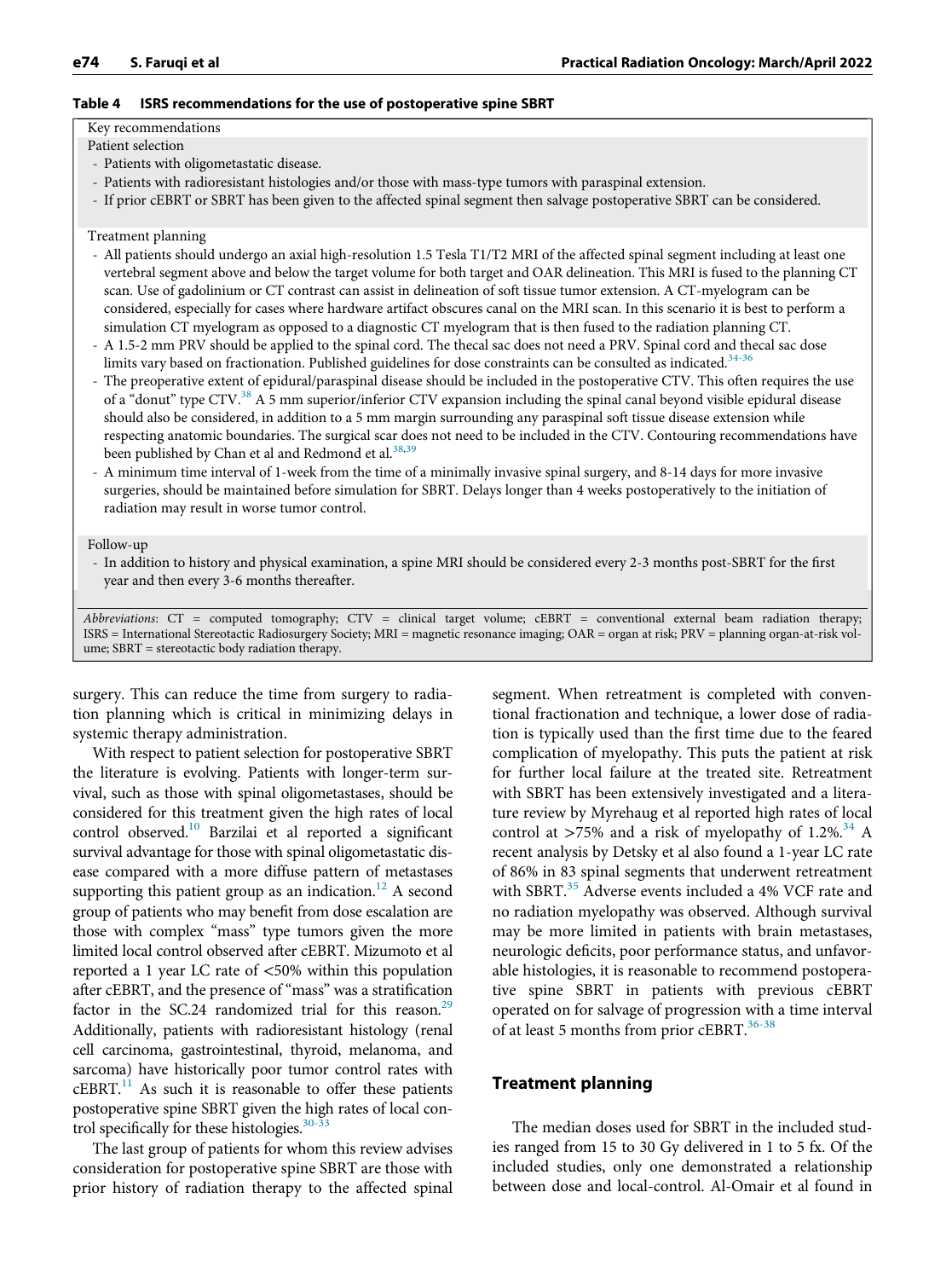#### <span id="page-9-0"></span>Table 4 ISRS recommendations for the use of postoperative spine SBRT

Key recommendations

- Patient selection
- Patients with oligometastatic disease.
- Patients with radioresistant histologies and/or those with mass-type tumors with paraspinal extension.
- If prior cEBRT or SBRT has been given to the affected spinal segment then salvage postoperative SBRT can be considered.

#### Treatment planning

- All patients should undergo an axial high-resolution 1.5 Tesla T1/T2 MRI of the affected spinal segment including at least one vertebral segment above and below the target volume for both target and OAR delineation. This MRI is fused to the planning CT scan. Use of gadolinium or CT contrast can assist in delineation of soft tissue tumor extension. A CT-myelogram can be considered, especially for cases where hardware artifact obscures canal on the MRI scan. In this scenario it is best to perform a simulation CT myelogram as opposed to a diagnostic CT myelogram that is then fused to the radiation planning CT.
- A 1.5-2 mm PRV should be applied to the spinal cord. The thecal sac does not need a PRV. Spinal cord and thecal sac dose limits vary based on fractionation. Published guidelines for dose constraints can be consulted as indicated.<sup>[34-36](#page-13-0)</sup>
- The preoperative extent of epidural/paraspinal disease should be included in the postoperative CTV. This often requires the use of a "donut" type CTV. $38$  A 5 mm superior/inferior CTV expansion including the spinal canal beyond visible epidural disease should also be considered, in addition to a 5 mm margin surrounding any paraspinal soft tissue disease extension while respecting anatomic boundaries. The surgical scar does not need to be included in the CTV. Contouring recommendations have been published by Chan et al and Redmond et al.<sup>[38](#page-13-3),[39](#page-13-4)</sup>
- A minimum time interval of 1-week from the time of a minimally invasive spinal surgery, and 8-14 days for more invasive surgeries, should be maintained before simulation for SBRT. Delays longer than 4 weeks postoperatively to the initiation of radiation may result in worse tumor control.

Follow-up

- In addition to history and physical examination, a spine MRI should be considered every 2-3 months post-SBRT for the first year and then every 3-6 months thereafter.

Abbreviations:  $CT =$  computed tomography;  $CTV =$  clinical target volume;  $cEBRT =$  conventional external beam radiation therapy; ISRS = International Stereotactic Radiosurgery Society; MRI = magnetic resonance imaging; OAR = organ at risk; PRV = planning organ-at-risk volume; SBRT = stereotactic body radiation therapy.

surgery. This can reduce the time from surgery to radiation planning which is critical in minimizing delays in systemic therapy administration.

With respect to patient selection for postoperative SBRT the literature is evolving. Patients with longer-term survival, such as those with spinal oligometastases, should be considered for this treatment given the high rates of local control observed[.10](#page-12-33) Barzilai et al reported a significant survival advantage for those with spinal oligometastatic disease compared with a more diffuse pattern of metastases supporting this patient group as an indication.<sup>12</sup> A second group of patients who may benefit from dose escalation are those with complex "mass" type tumors given the more limited local control observed after cEBRT. Mizumoto et al reported a 1 year LC rate of <50% within this population after cEBRT, and the presence of "mass" was a stratification factor in the SC.24 randomized trial for this reason.<sup>29</sup> Additionally, patients with radioresistant histology (renal cell carcinoma, gastrointestinal, thyroid, melanoma, and sarcoma) have historically poor tumor control rates with  $cEBRT<sup>11</sup>$  As such it is reasonable to offer these patients postoperative spine SBRT given the high rates of local control specifically for these histologies. $30-33$ 

The last group of patients for whom this review advises consideration for postoperative spine SBRT are those with prior history of radiation therapy to the affected spinal

segment. When retreatment is completed with conventional fractionation and technique, a lower dose of radiation is typically used than the first time due to the feared complication of myelopathy. This puts the patient at risk for further local failure at the treated site. Retreatment with SBRT has been extensively investigated and a literature review by Myrehaug et al reported high rates of local control at >75% and a risk of myelopathy of  $1.2\%^{34}$  $1.2\%^{34}$  $1.2\%^{34}$  A recent analysis by Detsky et al also found a 1-year LC rate of 86% in 83 spinal segments that underwent retreatment with SBRT.<sup>[35](#page-13-1)</sup> Adverse events included a 4% VCF rate and no radiation myelopathy was observed. Although survival may be more limited in patients with brain metastases, neurologic deficits, poor performance status, and unfavorable histologies, it is reasonable to recommend postoperative spine SBRT in patients with previous cEBRT operated on for salvage of progression with a time interval of at least 5 months from prior cEBRT. $36-38$ 

# Treatment planning

The median doses used for SBRT in the included studies ranged from 15 to 30 Gy delivered in 1 to 5 fx. Of the included studies, only one demonstrated a relationship between dose and local-control. Al-Omair et al found in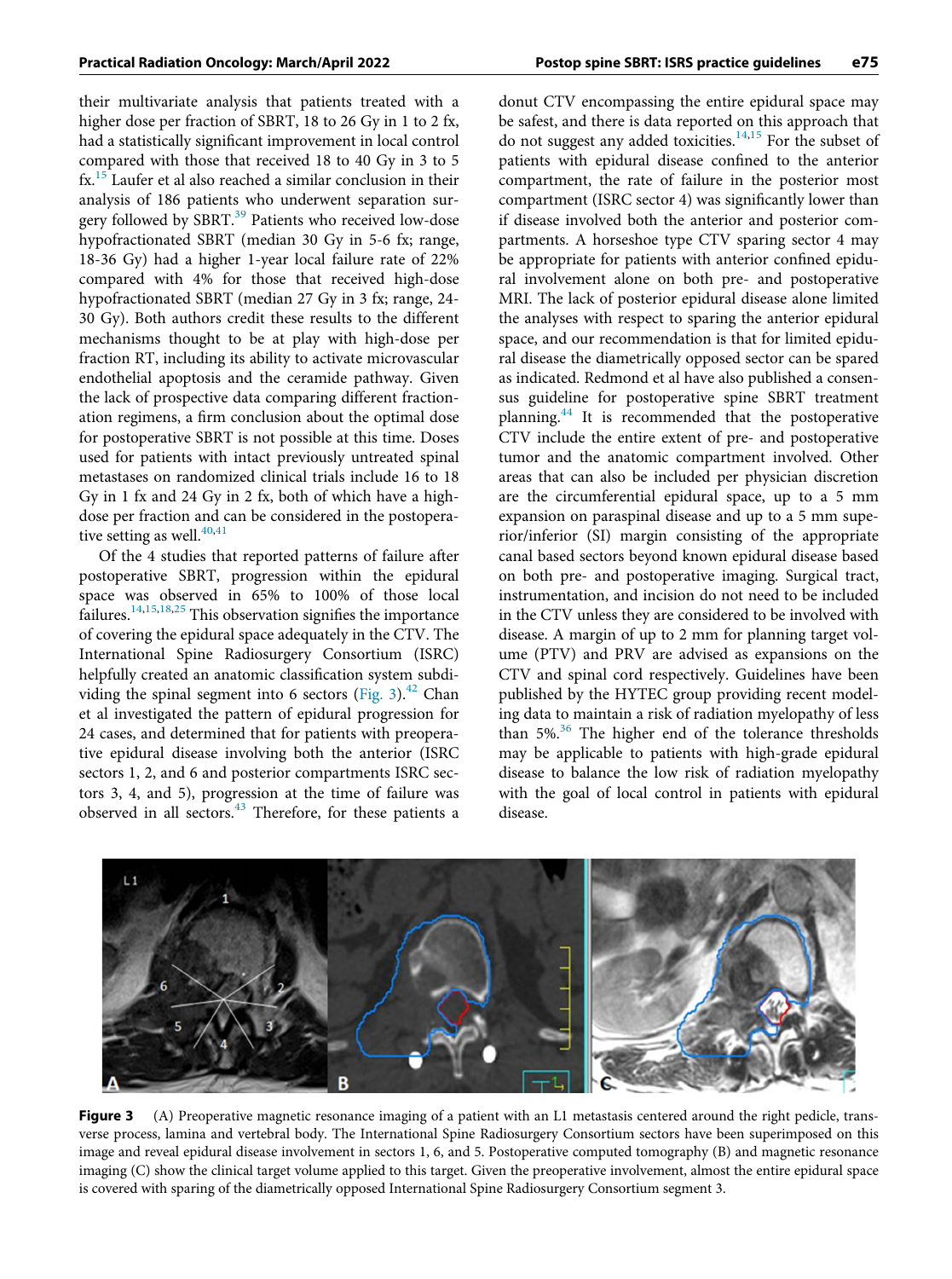their multivariate analysis that patients treated with a higher dose per fraction of SBRT, 18 to 26 Gy in 1 to 2 fx, had a statistically significant improvement in local control compared with those that received 18 to 40 Gy in 3 to 5 fx.<sup>[15](#page-12-12)</sup> Laufer et al also reached a similar conclusion in their analysis of 186 patients who underwent separation sur-gery followed by SBRT.<sup>[39](#page-13-4)</sup> Patients who received low-dose hypofractionated SBRT (median 30 Gy in 5-6 fx; range, 18-36 Gy) had a higher 1-year local failure rate of 22% compared with 4% for those that received high-dose hypofractionated SBRT (median 27 Gy in 3 fx; range, 24- 30 Gy). Both authors credit these results to the different mechanisms thought to be at play with high-dose per fraction RT, including its ability to activate microvascular endothelial apoptosis and the ceramide pathway. Given the lack of prospective data comparing different fractionation regimens, a firm conclusion about the optimal dose for postoperative SBRT is not possible at this time. Doses used for patients with intact previously untreated spinal metastases on randomized clinical trials include 16 to 18 Gy in 1 fx and 24 Gy in 2 fx, both of which have a highdose per fraction and can be considered in the postoperative setting as well. $40,41$  $40,41$ 

Of the 4 studies that reported patterns of failure after postoperative SBRT, progression within the epidural space was observed in 65% to 100% of those local failures.<sup>[14](#page-12-10),[15,](#page-12-12)[18](#page-12-11)[,25](#page-12-14)</sup> This observation signifies the importance of covering the epidural space adequately in the CTV. The International Spine Radiosurgery Consortium (ISRC) helpfully created an anatomic classification system subdi-viding the spinal segment into 6 sectors [\(Fig. 3](#page-10-0)).<sup>[42](#page-13-7)</sup> Chan et al investigated the pattern of epidural progression for 24 cases, and determined that for patients with preoperative epidural disease involving both the anterior (ISRC sectors 1, 2, and 6 and posterior compartments ISRC sectors 3, 4, and 5), progression at the time of failure was observed in all sectors.<sup>[43](#page-13-8)</sup> Therefore, for these patients a

donut CTV encompassing the entire epidural space may be safest, and there is data reported on this approach that do not suggest any added toxicities.<sup>[14](#page-12-10)[,15](#page-12-12)</sup> For the subset of patients with epidural disease confined to the anterior compartment, the rate of failure in the posterior most compartment (ISRC sector 4) was significantly lower than if disease involved both the anterior and posterior compartments. A horseshoe type CTV sparing sector 4 may be appropriate for patients with anterior confined epidural involvement alone on both pre- and postoperative MRI. The lack of posterior epidural disease alone limited the analyses with respect to sparing the anterior epidural space, and our recommendation is that for limited epidural disease the diametrically opposed sector can be spared as indicated. Redmond et al have also published a consensus guideline for postoperative spine SBRT treatment planning.[44](#page-13-9) It is recommended that the postoperative CTV include the entire extent of pre- and postoperative tumor and the anatomic compartment involved. Other areas that can also be included per physician discretion are the circumferential epidural space, up to a 5 mm expansion on paraspinal disease and up to a 5 mm superior/inferior (SI) margin consisting of the appropriate canal based sectors beyond known epidural disease based on both pre- and postoperative imaging. Surgical tract, instrumentation, and incision do not need to be included in the CTV unless they are considered to be involved with disease. A margin of up to 2 mm for planning target volume (PTV) and PRV are advised as expansions on the CTV and spinal cord respectively. Guidelines have been published by the HYTEC group providing recent modeling data to maintain a risk of radiation myelopathy of less than 5%.[36](#page-13-2) The higher end of the tolerance thresholds may be applicable to patients with high-grade epidural disease to balance the low risk of radiation myelopathy with the goal of local control in patients with epidural disease.

<span id="page-10-0"></span>

Figure 3 (A) Preoperative magnetic resonance imaging of a patient with an L1 metastasis centered around the right pedicle, transverse process, lamina and vertebral body. The International Spine Radiosurgery Consortium sectors have been superimposed on this image and reveal epidural disease involvement in sectors 1, 6, and 5. Postoperative computed tomography (B) and magnetic resonance imaging (C) show the clinical target volume applied to this target. Given the preoperative involvement, almost the entire epidural space is covered with sparing of the diametrically opposed International Spine Radiosurgery Consortium segment 3.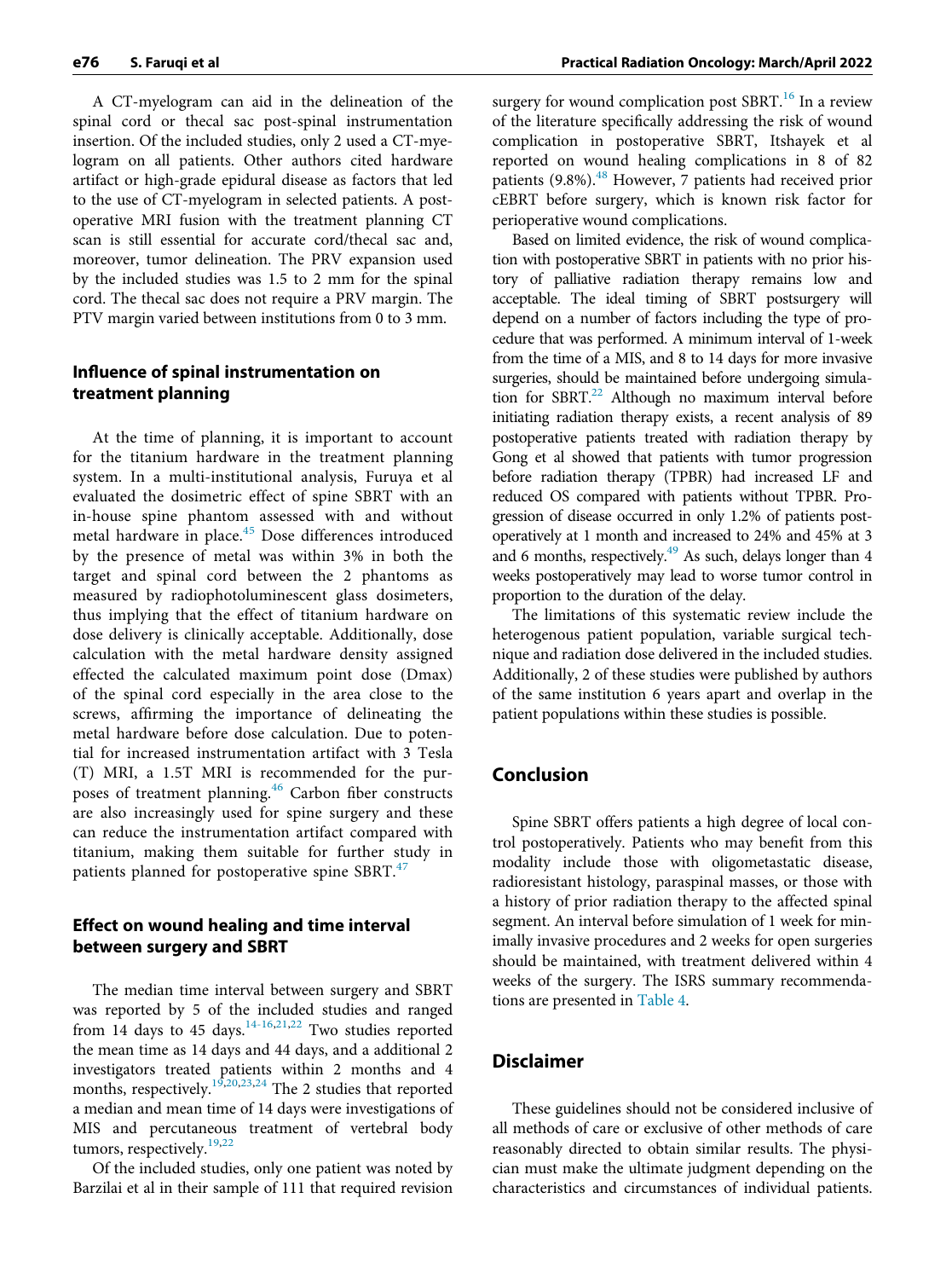A CT-myelogram can aid in the delineation of the spinal cord or thecal sac post-spinal instrumentation insertion. Of the included studies, only 2 used a CT-myelogram on all patients. Other authors cited hardware artifact or high-grade epidural disease as factors that led to the use of CT-myelogram in selected patients. A postoperative MRI fusion with the treatment planning CT scan is still essential for accurate cord/thecal sac and, moreover, tumor delineation. The PRV expansion used by the included studies was 1.5 to 2 mm for the spinal cord. The thecal sac does not require a PRV margin. The PTV margin varied between institutions from 0 to 3 mm.

# Influence of spinal instrumentation on treatment planning

At the time of planning, it is important to account for the titanium hardware in the treatment planning system. In a multi-institutional analysis, Furuya et al evaluated the dosimetric effect of spine SBRT with an in-house spine phantom assessed with and without metal hardware in place.[45](#page-13-10) Dose differences introduced by the presence of metal was within 3% in both the target and spinal cord between the 2 phantoms as measured by radiophotoluminescent glass dosimeters, thus implying that the effect of titanium hardware on dose delivery is clinically acceptable. Additionally, dose calculation with the metal hardware density assigned effected the calculated maximum point dose (Dmax) of the spinal cord especially in the area close to the screws, affirming the importance of delineating the metal hardware before dose calculation. Due to potential for increased instrumentation artifact with 3 Tesla (T) MRI, a 1.5T MRI is recommended for the pur-poses of treatment planning.<sup>[46](#page-13-11)</sup> Carbon fiber constructs are also increasingly used for spine surgery and these can reduce the instrumentation artifact compared with titanium, making them suitable for further study in patients planned for postoperative spine SBRT.<sup>[47](#page-13-12)</sup>

#### Effect on wound healing and time interval between surgery and SBRT

The median time interval between surgery and SBRT was reported by 5 of the included studies and ranged from 14 days to 45 days.<sup>[14-16](#page-12-10)[,21](#page-12-32),[22](#page-12-38)</sup> Two studies reported the mean time as 14 days and 44 days, and a additional 2 investigators treated patients within 2 months and 4 months, respectively.<sup>[19](#page-12-39),[20](#page-12-40),[23](#page-12-41)[,24](#page-12-13)</sup> The 2 studies that reported a median and mean time of 14 days were investigations of MIS and percutaneous treatment of vertebral body tumors, respectively.<sup>[19](#page-12-39)[,22](#page-12-38)</sup>

Of the included studies, only one patient was noted by Barzilai et al in their sample of 111 that required revision

surgery for wound complication post SBRT. $^{16}$  $^{16}$  $^{16}$  In a review of the literature specifically addressing the risk of wound complication in postoperative SBRT, Itshayek et al reported on wound healing complications in 8 of 82 patients (9.8%).<sup>[48](#page-13-13)</sup> However, 7 patients had received prior cEBRT before surgery, which is known risk factor for perioperative wound complications.

Based on limited evidence, the risk of wound complication with postoperative SBRT in patients with no prior history of palliative radiation therapy remains low and acceptable. The ideal timing of SBRT postsurgery will depend on a number of factors including the type of procedure that was performed. A minimum interval of 1-week from the time of a MIS, and 8 to 14 days for more invasive surgeries, should be maintained before undergoing simulation for  $SBRT<sup>22</sup>$  Although no maximum interval before initiating radiation therapy exists, a recent analysis of 89 postoperative patients treated with radiation therapy by Gong et al showed that patients with tumor progression before radiation therapy (TPBR) had increased LF and reduced OS compared with patients without TPBR. Progression of disease occurred in only 1.2% of patients postoperatively at 1 month and increased to 24% and 45% at 3 and 6 months, respectively.<sup>[49](#page-13-14)</sup> As such, delays longer than 4 weeks postoperatively may lead to worse tumor control in proportion to the duration of the delay.

The limitations of this systematic review include the heterogenous patient population, variable surgical technique and radiation dose delivered in the included studies. Additionally, 2 of these studies were published by authors of the same institution 6 years apart and overlap in the patient populations within these studies is possible.

#### Conclusion

Spine SBRT offers patients a high degree of local control postoperatively. Patients who may benefit from this modality include those with oligometastatic disease, radioresistant histology, paraspinal masses, or those with a history of prior radiation therapy to the affected spinal segment. An interval before simulation of 1 week for minimally invasive procedures and 2 weeks for open surgeries should be maintained, with treatment delivered within 4 weeks of the surgery. The ISRS summary recommendations are presented in [Table 4](#page-9-0).

#### Disclaimer

These guidelines should not be considered inclusive of all methods of care or exclusive of other methods of care reasonably directed to obtain similar results. The physician must make the ultimate judgment depending on the characteristics and circumstances of individual patients.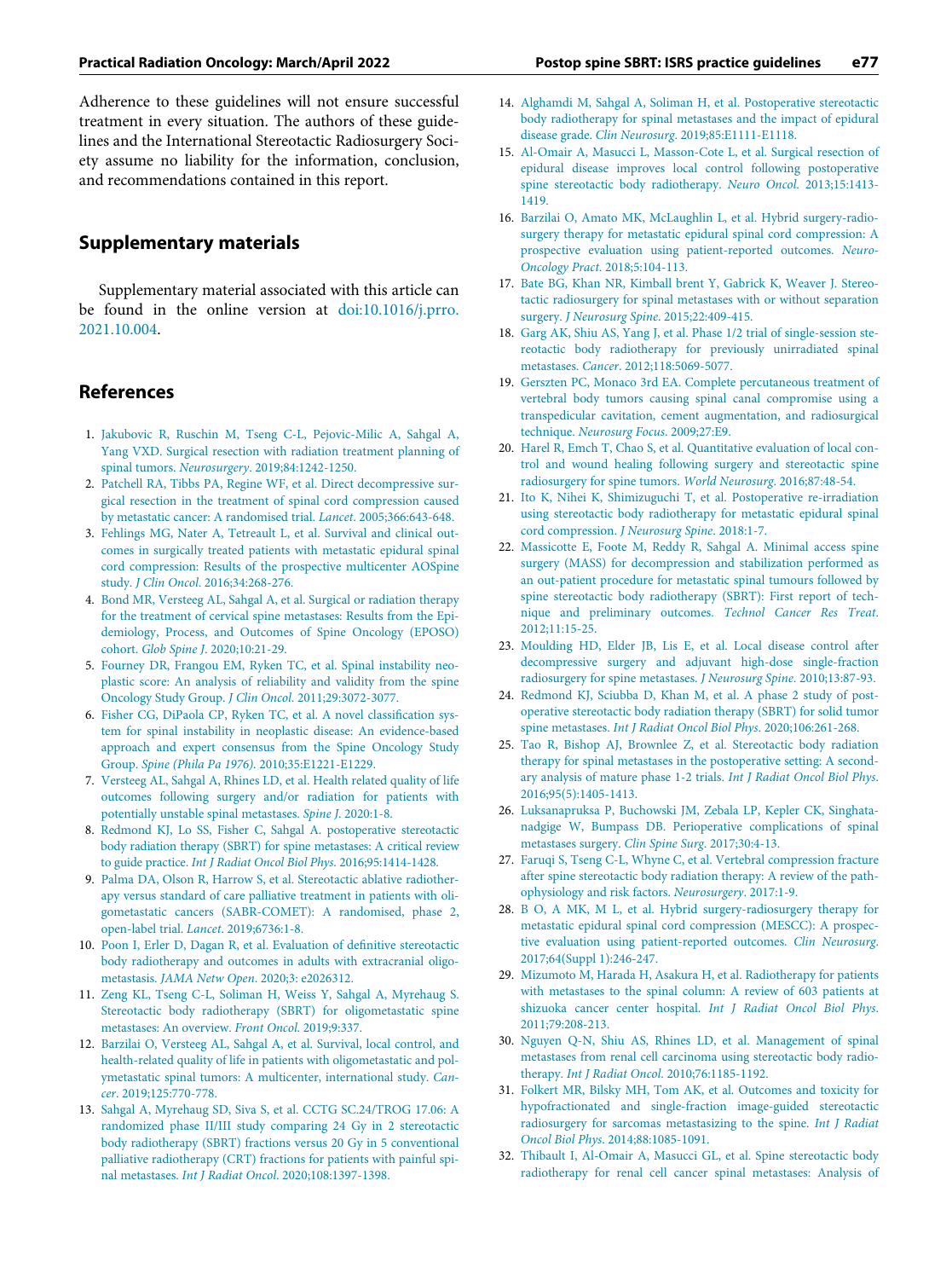<span id="page-12-12"></span><span id="page-12-10"></span>Adherence to these guidelines will not ensure successful treatment in every situation. The authors of these guidelines and the International Stereotactic Radiosurgery Society assume no liability for the information, conclusion, and recommendations contained in this report.

#### <span id="page-12-27"></span>Supplementary materials

<span id="page-12-28"></span><span id="page-12-11"></span>Supplementary material associated with this article can be found in the online version at [doi:10.1016/j.prro.](https://doi.org/10.1016/j.prro.2021.10.004) [2021.10.004](https://doi.org/10.1016/j.prro.2021.10.004).

# <span id="page-12-39"></span>References

- <span id="page-12-40"></span><span id="page-12-0"></span>1. [Jakubovic R, Ruschin M, Tseng C-L, Pejovic-Milic A, Sahgal A,](http://refhub.elsevier.com/S1879-8500(21)00282-4/sbref0001) [Yang VXD. Surgical resection with radiation treatment planning of](http://refhub.elsevier.com/S1879-8500(21)00282-4/sbref0001) spinal tumors. Neurosurgery[. 2019;84:1242-1250.](http://refhub.elsevier.com/S1879-8500(21)00282-4/sbref0001)
- <span id="page-12-32"></span><span id="page-12-1"></span>2. [Patchell RA, Tibbs PA, Regine WF, et al. Direct decompressive sur](http://refhub.elsevier.com/S1879-8500(21)00282-4/sbref0002)[gical resection in the treatment of spinal cord compression caused](http://refhub.elsevier.com/S1879-8500(21)00282-4/sbref0002) [by metastatic cancer: A randomised trial.](http://refhub.elsevier.com/S1879-8500(21)00282-4/sbref0002) Lancet. 2005;366:643-648.
- <span id="page-12-38"></span><span id="page-12-2"></span>3. [Fehlings MG, Nater A, Tetreault L, et al. Survival and clinical out](http://refhub.elsevier.com/S1879-8500(21)00282-4/sbref0003)[comes in surgically treated patients with metastatic epidural spinal](http://refhub.elsevier.com/S1879-8500(21)00282-4/sbref0003) [cord compression: Results of the prospective multicenter AOSpine](http://refhub.elsevier.com/S1879-8500(21)00282-4/sbref0003) study. J Clin Oncol[. 2016;34:268-276.](http://refhub.elsevier.com/S1879-8500(21)00282-4/sbref0003)
- <span id="page-12-3"></span>4. [Bond MR, Versteeg AL, Sahgal A, et al. Surgical or radiation therapy](http://refhub.elsevier.com/S1879-8500(21)00282-4/sbref0004) [for the treatment of cervical spine metastases: Results from the Epi](http://refhub.elsevier.com/S1879-8500(21)00282-4/sbref0004)[demiology, Process, and Outcomes of Spine Oncology \(EPOSO\)](http://refhub.elsevier.com/S1879-8500(21)00282-4/sbref0004) cohort. Glob Spine J[. 2020;10:21-29.](http://refhub.elsevier.com/S1879-8500(21)00282-4/sbref0004)
- <span id="page-12-41"></span><span id="page-12-4"></span>5. [Fourney DR, Frangou EM, Ryken TC, et al. Spinal instability neo](http://refhub.elsevier.com/S1879-8500(21)00282-4/sbref0005)[plastic score: An analysis of reliability and validity from the spine](http://refhub.elsevier.com/S1879-8500(21)00282-4/sbref0005) [Oncology Study Group.](http://refhub.elsevier.com/S1879-8500(21)00282-4/sbref0005) J Clin Oncol. 2011;29:3072-3077.
- <span id="page-12-14"></span><span id="page-12-13"></span><span id="page-12-5"></span>6. [Fisher CG, DiPaola CP, Ryken TC, et al. A novel classi](http://refhub.elsevier.com/S1879-8500(21)00282-4/sbref0006)fication sys[tem for spinal instability in neoplastic disease: An evidence-based](http://refhub.elsevier.com/S1879-8500(21)00282-4/sbref0006) [approach and expert consensus from the Spine Oncology Study](http://refhub.elsevier.com/S1879-8500(21)00282-4/sbref0006) Group. Spine (Phila Pa 1976)[. 2010;35:E1221-E1229.](http://refhub.elsevier.com/S1879-8500(21)00282-4/sbref0006)
- <span id="page-12-6"></span>7. [Versteeg AL, Sahgal A, Rhines LD, et al. Health related quality of life](http://refhub.elsevier.com/S1879-8500(21)00282-4/sbref0007) [outcomes following surgery and/or radiation for patients with](http://refhub.elsevier.com/S1879-8500(21)00282-4/sbref0007) [potentially unstable spinal metastases.](http://refhub.elsevier.com/S1879-8500(21)00282-4/sbref0007) Spine J. 2020:1-8.
- <span id="page-12-29"></span><span id="page-12-7"></span>8. [Redmond KJ, Lo SS, Fisher C, Sahgal A. postoperative stereotactic](http://refhub.elsevier.com/S1879-8500(21)00282-4/sbref0008) [body radiation therapy \(SBRT\) for spine metastases: A critical review](http://refhub.elsevier.com/S1879-8500(21)00282-4/sbref0008) to guide practice. [Int J Radiat Oncol Biol Phys](http://refhub.elsevier.com/S1879-8500(21)00282-4/sbref0008). 2016;95:1414-1428.
- <span id="page-12-31"></span><span id="page-12-30"></span><span id="page-12-8"></span>9. [Palma DA, Olson R, Harrow S, et al. Stereotactic ablative radiother](http://refhub.elsevier.com/S1879-8500(21)00282-4/sbref0009)[apy versus standard of care palliative treatment in patients with oli](http://refhub.elsevier.com/S1879-8500(21)00282-4/sbref0009)[gometastatic cancers \(SABR-COMET\): A randomised, phase 2,](http://refhub.elsevier.com/S1879-8500(21)00282-4/sbref0009) [open-label trial.](http://refhub.elsevier.com/S1879-8500(21)00282-4/sbref0009) Lancet. 2019;6736:1-8.
- <span id="page-12-33"></span>10. [Poon I, Erler D, Dagan R, et al. Evaluation of de](http://refhub.elsevier.com/S1879-8500(21)00282-4/sbref0010)finitive stereotactic [body radiotherapy and outcomes in adults with extracranial oligo](http://refhub.elsevier.com/S1879-8500(21)00282-4/sbref0010)metastasis. JAMA Netw Open[. 2020;3: e2026312.](http://refhub.elsevier.com/S1879-8500(21)00282-4/sbref0010)
- <span id="page-12-36"></span><span id="page-12-35"></span>11. [Zeng KL, Tseng C-L, Soliman H, Weiss Y, Sahgal A, Myrehaug S.](http://refhub.elsevier.com/S1879-8500(21)00282-4/sbref0011) [Stereotactic body radiotherapy \(SBRT\) for oligometastatic spine](http://refhub.elsevier.com/S1879-8500(21)00282-4/sbref0011) [metastases: An overview.](http://refhub.elsevier.com/S1879-8500(21)00282-4/sbref0011) Front Oncol. 2019;9:337.
- <span id="page-12-37"></span><span id="page-12-34"></span>12. [Barzilai O, Versteeg AL, Sahgal A, et al. Survival, local control, and](http://refhub.elsevier.com/S1879-8500(21)00282-4/sbref0012) [health-related quality of life in patients with oligometastatic and pol](http://refhub.elsevier.com/S1879-8500(21)00282-4/sbref0012)[ymetastatic spinal tumors: A multicenter, international study.](http://refhub.elsevier.com/S1879-8500(21)00282-4/sbref0012) Cancer[. 2019;125:770-778.](http://refhub.elsevier.com/S1879-8500(21)00282-4/sbref0012)
- <span id="page-12-9"></span>13. [Sahgal A, Myrehaug SD, Siva S, et al. CCTG SC.24/TROG 17.06: A](http://refhub.elsevier.com/S1879-8500(21)00282-4/sbref0013) [randomized phase II/III study comparing 24 Gy in 2 stereotactic](http://refhub.elsevier.com/S1879-8500(21)00282-4/sbref0013) [body radiotherapy \(SBRT\) fractions versus 20 Gy in 5 conventional](http://refhub.elsevier.com/S1879-8500(21)00282-4/sbref0013) [palliative radiotherapy \(CRT\) fractions for patients with painful spi](http://refhub.elsevier.com/S1879-8500(21)00282-4/sbref0013)nal metastases. Int J Radiat Oncol[. 2020;108:1397-1398.](http://refhub.elsevier.com/S1879-8500(21)00282-4/sbref0013)
- <span id="page-12-26"></span><span id="page-12-25"></span><span id="page-12-24"></span><span id="page-12-23"></span><span id="page-12-22"></span><span id="page-12-21"></span><span id="page-12-20"></span><span id="page-12-19"></span><span id="page-12-18"></span><span id="page-12-17"></span><span id="page-12-16"></span><span id="page-12-15"></span>14. [Alghamdi M, Sahgal A, Soliman H, et al. Postoperative stereotactic](http://refhub.elsevier.com/S1879-8500(21)00282-4/sbref0014) [body radiotherapy for spinal metastases and the impact of epidural](http://refhub.elsevier.com/S1879-8500(21)00282-4/sbref0014) disease grade. Clin Neurosurg[. 2019;85:E1111-E1118.](http://refhub.elsevier.com/S1879-8500(21)00282-4/sbref0014)
- 15. [Al-Omair A, Masucci L, Masson-Cote L, et al. Surgical resection of](http://refhub.elsevier.com/S1879-8500(21)00282-4/sbref0015) [epidural disease improves local control following postoperative](http://refhub.elsevier.com/S1879-8500(21)00282-4/sbref0015) [spine stereotactic body radiotherapy.](http://refhub.elsevier.com/S1879-8500(21)00282-4/sbref0015) Neuro Oncol. 2013;15:1413- [1419.](http://refhub.elsevier.com/S1879-8500(21)00282-4/sbref0015)
- 16. [Barzilai O, Amato MK, McLaughlin L, et al. Hybrid surgery-radio](http://refhub.elsevier.com/S1879-8500(21)00282-4/sbref0016)[surgery therapy for metastatic epidural spinal cord compression: A](http://refhub.elsevier.com/S1879-8500(21)00282-4/sbref0016) [prospective evaluation using patient-reported outcomes.](http://refhub.elsevier.com/S1879-8500(21)00282-4/sbref0016) Neuro-Oncology Pract[. 2018;5:104-113.](http://refhub.elsevier.com/S1879-8500(21)00282-4/sbref0016)
- 17. [Bate BG, Khan NR, Kimball brent Y, Gabrick K, Weaver J. Stereo](http://refhub.elsevier.com/S1879-8500(21)00282-4/sbref0017)[tactic radiosurgery for spinal metastases with or without separation](http://refhub.elsevier.com/S1879-8500(21)00282-4/sbref0017) surgery. J Neurosurg Spine[. 2015;22:409-415.](http://refhub.elsevier.com/S1879-8500(21)00282-4/sbref0017)
- 18. [Garg AK, Shiu AS, Yang J, et al. Phase 1/2 trial of single-session ste](http://refhub.elsevier.com/S1879-8500(21)00282-4/sbref0018)[reotactic body radiotherapy for previously unirradiated spinal](http://refhub.elsevier.com/S1879-8500(21)00282-4/sbref0018) metastases. Cancer[. 2012;118:5069-5077.](http://refhub.elsevier.com/S1879-8500(21)00282-4/sbref0018)
- 19. [Gerszten PC, Monaco 3rd EA. Complete percutaneous treatment of](http://refhub.elsevier.com/S1879-8500(21)00282-4/sbref0019) [vertebral body tumors causing spinal canal compromise using a](http://refhub.elsevier.com/S1879-8500(21)00282-4/sbref0019) [transpedicular cavitation, cement augmentation, and radiosurgical](http://refhub.elsevier.com/S1879-8500(21)00282-4/sbref0019) technique. [Neurosurg Focus](http://refhub.elsevier.com/S1879-8500(21)00282-4/sbref0019). 2009;27:E9.
- 20. [Harel R, Emch T, Chao S, et al. Quantitative evaluation of local con](http://refhub.elsevier.com/S1879-8500(21)00282-4/sbref0020)[trol and wound healing following surgery and stereotactic spine](http://refhub.elsevier.com/S1879-8500(21)00282-4/sbref0020) [radiosurgery for spine tumors.](http://refhub.elsevier.com/S1879-8500(21)00282-4/sbref0020) World Neurosurg. 2016;87:48-54.
- 21. [Ito K, Nihei K, Shimizuguchi T, et al. Postoperative re-irradiation](http://refhub.elsevier.com/S1879-8500(21)00282-4/sbref0021) [using stereotactic body radiotherapy for metastatic epidural spinal](http://refhub.elsevier.com/S1879-8500(21)00282-4/sbref0021) [cord compression.](http://refhub.elsevier.com/S1879-8500(21)00282-4/sbref0021) J Neurosurg Spine. 2018:1-7.
- 22. [Massicotte E, Foote M, Reddy R, Sahgal A. Minimal access spine](http://refhub.elsevier.com/S1879-8500(21)00282-4/sbref0022) [surgery \(MASS\) for decompression and stabilization performed as](http://refhub.elsevier.com/S1879-8500(21)00282-4/sbref0022) [an out-patient procedure for metastatic spinal tumours followed by](http://refhub.elsevier.com/S1879-8500(21)00282-4/sbref0022) [spine stereotactic body radiotherapy \(SBRT\): First report of tech](http://refhub.elsevier.com/S1879-8500(21)00282-4/sbref0022)[nique and preliminary outcomes.](http://refhub.elsevier.com/S1879-8500(21)00282-4/sbref0022) Technol Cancer Res Treat. [2012;11:15-25.](http://refhub.elsevier.com/S1879-8500(21)00282-4/sbref0022)
- 23. [Moulding HD, Elder JB, Lis E, et al. Local disease control after](http://refhub.elsevier.com/S1879-8500(21)00282-4/sbref0023) [decompressive surgery and adjuvant high-dose single-fraction](http://refhub.elsevier.com/S1879-8500(21)00282-4/sbref0023) [radiosurgery for spine metastases.](http://refhub.elsevier.com/S1879-8500(21)00282-4/sbref0023) J Neurosurg Spine. 2010;13:87-93.
- 24. [Redmond KJ, Sciubba D, Khan M, et al. A phase 2 study of post](http://refhub.elsevier.com/S1879-8500(21)00282-4/sbref0024)[operative stereotactic body radiation therapy \(SBRT\) for solid tumor](http://refhub.elsevier.com/S1879-8500(21)00282-4/sbref0024) spine metastases. [Int J Radiat Oncol Biol Phys](http://refhub.elsevier.com/S1879-8500(21)00282-4/sbref0024). 2020;106:261-268.
- 25. [Tao R, Bishop AJ, Brownlee Z, et al. Stereotactic body radiation](http://refhub.elsevier.com/S1879-8500(21)00282-4/sbref0025) [therapy for spinal metastases in the postoperative setting: A second](http://refhub.elsevier.com/S1879-8500(21)00282-4/sbref0025)[ary analysis of mature phase 1-2 trials.](http://refhub.elsevier.com/S1879-8500(21)00282-4/sbref0025) Int J Radiat Oncol Biol Phys. [2016;95\(5\):1405-1413.](http://refhub.elsevier.com/S1879-8500(21)00282-4/sbref0025)
- 26. [Luksanapruksa P, Buchowski JM, Zebala LP, Kepler CK, Singhata](http://refhub.elsevier.com/S1879-8500(21)00282-4/sbref0026)[nadgige W, Bumpass DB. Perioperative complications of spinal](http://refhub.elsevier.com/S1879-8500(21)00282-4/sbref0026) [metastases surgery.](http://refhub.elsevier.com/S1879-8500(21)00282-4/sbref0026) Clin Spine Surg. 2017;30:4-13.
- 27. [Faruqi S, Tseng C-L, Whyne C, et al. Vertebral compression fracture](http://refhub.elsevier.com/S1879-8500(21)00282-4/sbref0027) [after spine stereotactic body radiation therapy: A review of the path](http://refhub.elsevier.com/S1879-8500(21)00282-4/sbref0027)[ophysiology and risk factors.](http://refhub.elsevier.com/S1879-8500(21)00282-4/sbref0027) Neurosurgery. 2017:1-9.
- 28. [B O, A MK, M L, et al. Hybrid surgery-radiosurgery therapy for](http://refhub.elsevier.com/S1879-8500(21)00282-4/sbref0028) [metastatic epidural spinal cord compression \(MESCC\): A prospec](http://refhub.elsevier.com/S1879-8500(21)00282-4/sbref0028)[tive evaluation using patient-reported outcomes.](http://refhub.elsevier.com/S1879-8500(21)00282-4/sbref0028) Clin Neurosurg. [2017;64\(Suppl 1\):246-247.](http://refhub.elsevier.com/S1879-8500(21)00282-4/sbref0028)
- 29. [Mizumoto M, Harada H, Asakura H, et al. Radiotherapy for patients](http://refhub.elsevier.com/S1879-8500(21)00282-4/sbref0029) [with metastases to the spinal column: A review of 603 patients at](http://refhub.elsevier.com/S1879-8500(21)00282-4/sbref0029) [shizuoka cancer center hospital.](http://refhub.elsevier.com/S1879-8500(21)00282-4/sbref0029) Int J Radiat Oncol Biol Phys. [2011;79:208-213.](http://refhub.elsevier.com/S1879-8500(21)00282-4/sbref0029)
- 30. [Nguyen Q-N, Shiu AS, Rhines LD, et al. Management of spinal](http://refhub.elsevier.com/S1879-8500(21)00282-4/sbref0030) [metastases from renal cell carcinoma using stereotactic body radio](http://refhub.elsevier.com/S1879-8500(21)00282-4/sbref0030)therapy. Int J Radiat Oncol[. 2010;76:1185-1192.](http://refhub.elsevier.com/S1879-8500(21)00282-4/sbref0030)
- 31. [Folkert MR, Bilsky MH, Tom AK, et al. Outcomes and toxicity for](http://refhub.elsevier.com/S1879-8500(21)00282-4/sbref0031) [hypofractionated and single-fraction image-guided stereotactic](http://refhub.elsevier.com/S1879-8500(21)00282-4/sbref0031) [radiosurgery for sarcomas metastasizing to the spine.](http://refhub.elsevier.com/S1879-8500(21)00282-4/sbref0031) Int J Radiat Oncol Biol Phys[. 2014;88:1085-1091.](http://refhub.elsevier.com/S1879-8500(21)00282-4/sbref0031)
- 32. [Thibault I, Al-Omair A, Masucci GL, et al. Spine stereotactic body](http://refhub.elsevier.com/S1879-8500(21)00282-4/sbref0032) [radiotherapy for renal cell cancer spinal metastases: Analysis of](http://refhub.elsevier.com/S1879-8500(21)00282-4/sbref0032)